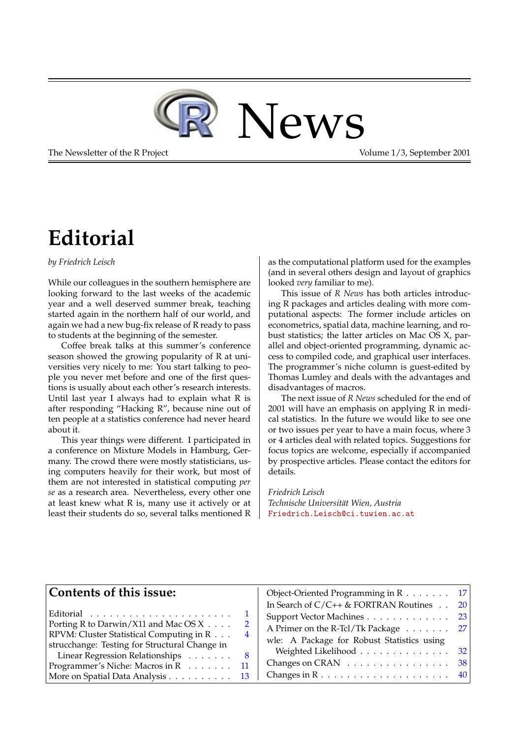

The Newsletter of the R Project The Newsletter of the R Project Volume 1/3, September 2001

# **Editorial**

#### <span id="page-0-0"></span>*by Friedrich Leisch*

While our colleagues in the southern hemisphere are looking forward to the last weeks of the academic year and a well deserved summer break, teaching started again in the northern half of our world, and again we had a new bug-fix release of R ready to pass to students at the beginning of the semester.

Coffee break talks at this summer's conference season showed the growing popularity of R at universities very nicely to me: You start talking to people you never met before and one of the first questions is usually about each other's research interests. Until last year I always had to explain what R is after responding "Hacking R", because nine out of ten people at a statistics conference had never heard about it.

This year things were different. I participated in a conference on Mixture Models in Hamburg, Germany. The crowd there were mostly statisticians, using computers heavily for their work, but most of them are not interested in statistical computing *per se* as a research area. Nevertheless, every other one at least knew what R is, many use it actively or at least their students do so, several talks mentioned R as the computational platform used for the examples (and in several others design and layout of graphics looked *very* familiar to me).

This issue of *R News* has both articles introducing R packages and articles dealing with more computational aspects: The former include articles on econometrics, spatial data, machine learning, and robust statistics; the latter articles on Mac OS X, parallel and object-oriented programming, dynamic access to compiled code, and graphical user interfaces. The programmer's niche column is guest-edited by Thomas Lumley and deals with the advantages and disadvantages of macros.

The next issue of *R News* scheduled for the end of 2001 will have an emphasis on applying R in medical statistics. In the future we would like to see one or two issues per year to have a main focus, where 3 or 4 articles deal with related topics. Suggestions for focus topics are welcome, especially if accompanied by prospective articles. Please contact the editors for details.

*Friedrich Leisch Technische Universität Wien, Austria* [Friedrich.Leisch@ci.tuwien.ac.at](mailto:Friedrich.Leisch@ci.tuwien.ac.at)

#### **Contents of this issue:**

|                                                    |                | пі әеаі         |
|----------------------------------------------------|----------------|-----------------|
| $\text{Editorial}$                                 |                | Suppo           |
| Porting R to Darwin/X11 and Mac OS X               | $\overline{2}$ | A Prin          |
| RPVM: Cluster Statistical Computing in R           | 4              |                 |
| strucchange: Testing for Structural Change in      |                | wle: $\sqrt{ }$ |
| Linear Regression Relationships                    | - 8            | Weis            |
| Programmer's Niche: Macros in R $\ldots \ldots$ 11 |                | Chang           |
| More on Spatial Data Analysis                      | -13            | Chang           |
|                                                    |                |                 |

| Object-Oriented Programming in R 17        |    |
|--------------------------------------------|----|
| In Search of $C/C++$ & FORTRAN Routines    | 20 |
| Support Vector Machines 23                 |    |
| A Primer on the R-Tcl/Tk Package 27        |    |
| wle: A Package for Robust Statistics using |    |
| Weighted Likelihood 32                     |    |
| Changes on CRAN 38                         |    |
|                                            |    |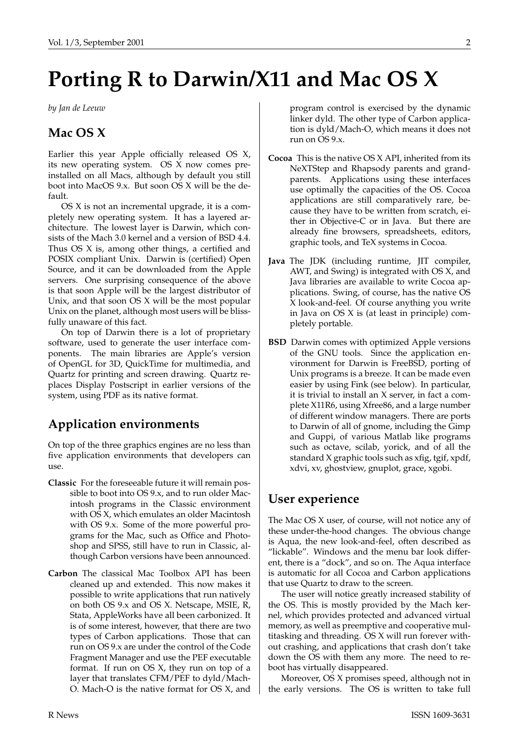# **Porting R to Darwin/X11 and Mac OS X**

<span id="page-1-0"></span>*by Jan de Leeuw*

# **Mac OS X**

Earlier this year Apple officially released OS X, its new operating system. OS X now comes preinstalled on all Macs, although by default you still boot into MacOS 9.x. But soon OS X will be the default.

OS X is not an incremental upgrade, it is a completely new operating system. It has a layered architecture. The lowest layer is Darwin, which consists of the Mach 3.0 kernel and a version of BSD 4.4. Thus OS X is, among other things, a certified and POSIX compliant Unix. Darwin is (certified) Open Source, and it can be downloaded from the Apple servers. One surprising consequence of the above is that soon Apple will be the largest distributor of Unix, and that soon OS X will be the most popular Unix on the planet, although most users will be blissfully unaware of this fact.

On top of Darwin there is a lot of proprietary software, used to generate the user interface components. The main libraries are Apple's version of OpenGL for 3D, QuickTime for multimedia, and Quartz for printing and screen drawing. Quartz replaces Display Postscript in earlier versions of the system, using PDF as its native format.

# **Application environments**

On top of the three graphics engines are no less than five application environments that developers can use.

- **Classic** For the foreseeable future it will remain possible to boot into OS 9.x, and to run older Macintosh programs in the Classic environment with OS X, which emulates an older Macintosh with OS 9.x. Some of the more powerful programs for the Mac, such as Office and Photoshop and SPSS, still have to run in Classic, although Carbon versions have been announced.
- **Carbon** The classical Mac Toolbox API has been cleaned up and extended. This now makes it possible to write applications that run natively on both OS 9.x and OS X. Netscape, MSIE, R, Stata, AppleWorks have all been carbonized. It is of some interest, however, that there are two types of Carbon applications. Those that can run on OS 9.x are under the control of the Code Fragment Manager and use the PEF executable format. If run on OS X, they run on top of a layer that translates CFM/PEF to dyld/Mach-O. Mach-O is the native format for OS X, and

program control is exercised by the dynamic linker dyld. The other type of Carbon application is dyld/Mach-O, which means it does not run on OS 9.x.

- **Cocoa** This is the native OS X API, inherited from its NeXTStep and Rhapsody parents and grandparents. Applications using these interfaces use optimally the capacities of the OS. Cocoa applications are still comparatively rare, because they have to be written from scratch, either in Objective-C or in Java. But there are already fine browsers, spreadsheets, editors, graphic tools, and TeX systems in Cocoa.
- **Java** The JDK (including runtime, JIT compiler, AWT, and Swing) is integrated with OS X, and Java libraries are available to write Cocoa applications. Swing, of course, has the native OS X look-and-feel. Of course anything you write in Java on OS X is (at least in principle) completely portable.
- **BSD** Darwin comes with optimized Apple versions of the GNU tools. Since the application environment for Darwin is FreeBSD, porting of Unix programs is a breeze. It can be made even easier by using Fink (see below). In particular, it is trivial to install an X server, in fact a complete X11R6, using Xfree86, and a large number of different window managers. There are ports to Darwin of all of gnome, including the Gimp and Guppi, of various Matlab like programs such as octave, scilab, yorick, and of all the standard X graphic tools such as xfig, tgif, xpdf, xdvi, xv, ghostview, gnuplot, grace, xgobi.

# **User experience**

The Mac OS X user, of course, will not notice any of these under-the-hood changes. The obvious change is Aqua, the new look-and-feel, often described as "lickable". Windows and the menu bar look different, there is a "dock", and so on. The Aqua interface is automatic for all Cocoa and Carbon applications that use Quartz to draw to the screen.

The user will notice greatly increased stability of the OS. This is mostly provided by the Mach kernel, which provides protected and advanced virtual memory, as well as preemptive and cooperative multitasking and threading. OS X will run forever without crashing, and applications that crash don't take down the OS with them any more. The need to reboot has virtually disappeared.

Moreover, OS X promises speed, although not in the early versions. The OS is written to take full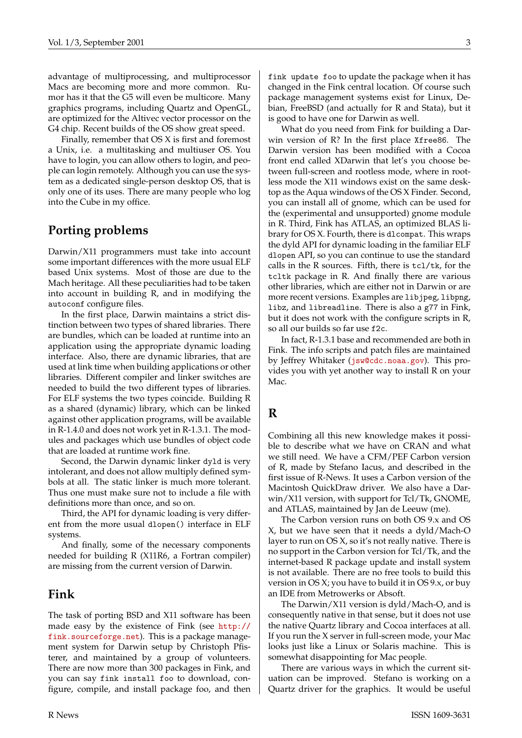advantage of multiprocessing, and multiprocessor Macs are becoming more and more common. Rumor has it that the G5 will even be multicore. Many graphics programs, including Quartz and OpenGL, are optimized for the Altivec vector processor on the G4 chip. Recent builds of the OS show great speed.

Finally, remember that OS X is first and foremost a Unix, i.e. a multitasking and multiuser OS. You have to login, you can allow others to login, and people can login remotely. Although you can use the system as a dedicated single-person desktop OS, that is only one of its uses. There are many people who log into the Cube in my office.

#### **Porting problems**

Darwin/X11 programmers must take into account some important differences with the more usual ELF based Unix systems. Most of those are due to the Mach heritage. All these peculiarities had to be taken into account in building R, and in modifying the autoconf configure files.

In the first place, Darwin maintains a strict distinction between two types of shared libraries. There are bundles, which can be loaded at runtime into an application using the appropriate dynamic loading interface. Also, there are dynamic libraries, that are used at link time when building applications or other libraries. Different compiler and linker switches are needed to build the two different types of libraries. For ELF systems the two types coincide. Building R as a shared (dynamic) library, which can be linked against other application programs, will be available in R-1.4.0 and does not work yet in R-1.3.1. The modules and packages which use bundles of object code that are loaded at runtime work fine.

Second, the Darwin dynamic linker dyld is very intolerant, and does not allow multiply defined symbols at all. The static linker is much more tolerant. Thus one must make sure not to include a file with definitions more than once, and so on.

Third, the API for dynamic loading is very different from the more usual dlopen() interface in ELF systems.

And finally, some of the necessary components needed for building R (X11R6, a Fortran compiler) are missing from the current version of Darwin.

#### **Fink**

The task of porting BSD and X11 software has been made easy by the existence of Fink (see [http://](http://fink.sourceforge.net) [fink.sourceforge.net](http://fink.sourceforge.net)). This is a package management system for Darwin setup by Christoph Pfisterer, and maintained by a group of volunteers. There are now more than 300 packages in Fink, and you can say fink install foo to download, configure, compile, and install package foo, and then fink update foo to update the package when it has changed in the Fink central location. Of course such package management systems exist for Linux, Debian, FreeBSD (and actually for R and Stata), but it is good to have one for Darwin as well.

What do you need from Fink for building a Darwin version of R? In the first place Xfree86. The Darwin version has been modified with a Cocoa front end called XDarwin that let's you choose between full-screen and rootless mode, where in rootless mode the X11 windows exist on the same desktop as the Aqua windows of the OS X Finder. Second, you can install all of gnome, which can be used for the (experimental and unsupported) gnome module in R. Third, Fink has ATLAS, an optimized BLAS library for OS X. Fourth, there is dlcompat. This wraps the dyld API for dynamic loading in the familiar ELF dlopen API, so you can continue to use the standard calls in the R sources. Fifth, there is tcl/tk, for the tcltk package in R. And finally there are various other libraries, which are either not in Darwin or are more recent versions. Examples are libjpeg, libpng, libz, and libreadline. There is also a g77 in Fink, but it does not work with the configure scripts in R, so all our builds so far use f2c.

In fact, R-1.3.1 base and recommended are both in Fink. The info scripts and patch files are maintained by Jeffrey Whitaker ([jsw@cdc.noaa.gov](mailto:jsw@cdc.noaa.gov)). This provides you with yet another way to install R on your Mac.

#### **R**

Combining all this new knowledge makes it possible to describe what we have on CRAN and what we still need. We have a CFM/PEF Carbon version of R, made by Stefano Iacus, and described in the first issue of R-News. It uses a Carbon version of the Macintosh QuickDraw driver. We also have a Darwin/X11 version, with support for Tcl/Tk, GNOME, and ATLAS, maintained by Jan de Leeuw (me).

The Carbon version runs on both OS 9.x and OS X, but we have seen that it needs a dyld/Mach-O layer to run on OS X, so it's not really native. There is no support in the Carbon version for Tcl/Tk, and the internet-based R package update and install system is not available. There are no free tools to build this version in OS X; you have to build it in OS 9.x, or buy an IDE from Metrowerks or Absoft.

The Darwin/X11 version is dyld/Mach-O, and is consequently native in that sense, but it does not use the native Quartz library and Cocoa interfaces at all. If you run the X server in full-screen mode, your Mac looks just like a Linux or Solaris machine. This is somewhat disappointing for Mac people.

There are various ways in which the current situation can be improved. Stefano is working on a Quartz driver for the graphics. It would be useful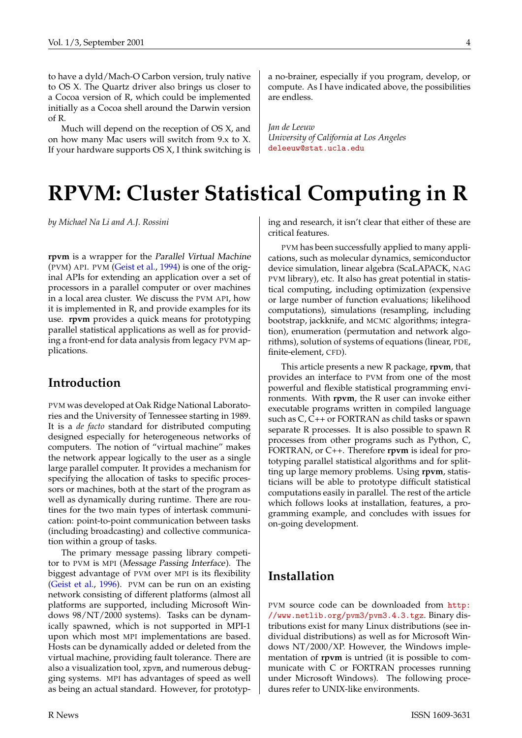<span id="page-3-1"></span>Much will depend on the reception of OS X, and on how many Mac users will switch from 9.x to X. If your hardware supports OS X, I think switching is a no-brainer, especially if you program, develop, or compute. As I have indicated above, the possibilities are endless.

*Jan de Leeuw University of California at Los Angeles* [deleeuw@stat.ucla.edu](mailto:deleeuw@stat.ucla.edu)

# **RPVM: Cluster Statistical Computing in R**

<span id="page-3-0"></span>*by Michael Na Li and A.J. Rossini*

**rpvm** is a wrapper for the Parallel Virtual Machine (PVM) API. PVM ([Geist et al.](#page-6-0), [1994](#page-6-0)) is one of the original APIs for extending an application over a set of processors in a parallel computer or over machines in a local area cluster. We discuss the PVM API, how it is implemented in R, and provide examples for its use. **rpvm** provides a quick means for prototyping parallel statistical applications as well as for providing a front-end for data analysis from legacy PVM applications.

#### **Introduction**

PVM was developed at Oak Ridge National Laboratories and the University of Tennessee starting in 1989. It is a *de facto* standard for distributed computing designed especially for heterogeneous networks of computers. The notion of "virtual machine" makes the network appear logically to the user as a single large parallel computer. It provides a mechanism for specifying the allocation of tasks to specific processors or machines, both at the start of the program as well as dynamically during runtime. There are routines for the two main types of intertask communication: point-to-point communication between tasks (including broadcasting) and collective communication within a group of tasks.

The primary message passing library competitor to PVM is MPI (Message Passing Interface). The biggest advantage of PVM over MPI is its flexibility [\(Geist et al.](#page-6-1), [1996](#page-6-1)). PVM can be run on an existing network consisting of different platforms (almost all platforms are supported, including Microsoft Windows 98/NT/2000 systems). Tasks can be dynamically spawned, which is not supported in MPI-1 upon which most MPI implementations are based. Hosts can be dynamically added or deleted from the virtual machine, providing fault tolerance. There are also a visualization tool, xpvm, and numerous debugging systems. MPI has advantages of speed as well as being an actual standard. However, for prototyping and research, it isn't clear that either of these are critical features.

PVM has been successfully applied to many applications, such as molecular dynamics, semiconductor device simulation, linear algebra (ScaLAPACK, NAG PVM library), etc. It also has great potential in statistical computing, including optimization (expensive or large number of function evaluations; likelihood computations), simulations (resampling, including bootstrap, jackknife, and MCMC algorithms; integration), enumeration (permutation and network algorithms), solution of systems of equations (linear, PDE, finite-element, CFD).

This article presents a new R package, **rpvm**, that provides an interface to PVM from one of the most powerful and flexible statistical programming environments. With **rpvm**, the R user can invoke either executable programs written in compiled language such as C, C++ or FORTRAN as child tasks or spawn separate R processes. It is also possible to spawn R processes from other programs such as Python, C, FORTRAN, or C++. Therefore **rpvm** is ideal for prototyping parallel statistical algorithms and for splitting up large memory problems. Using **rpvm**, statisticians will be able to prototype difficult statistical computations easily in parallel. The rest of the article which follows looks at installation, features, a programming example, and concludes with issues for on-going development.

#### **Installation**

PVM source code can be downloaded from [http:](http://www.netlib.org/pvm3/pvm3.4.3.tgz) [//www.netlib.org/pvm3/pvm3.4.3.tgz](http://www.netlib.org/pvm3/pvm3.4.3.tgz). Binary distributions exist for many Linux distributions (see individual distributions) as well as for Microsoft Windows NT/2000/XP. However, the Windows implementation of **rpvm** is untried (it is possible to communicate with C or FORTRAN processes running under Microsoft Windows). The following procedures refer to UNIX-like environments.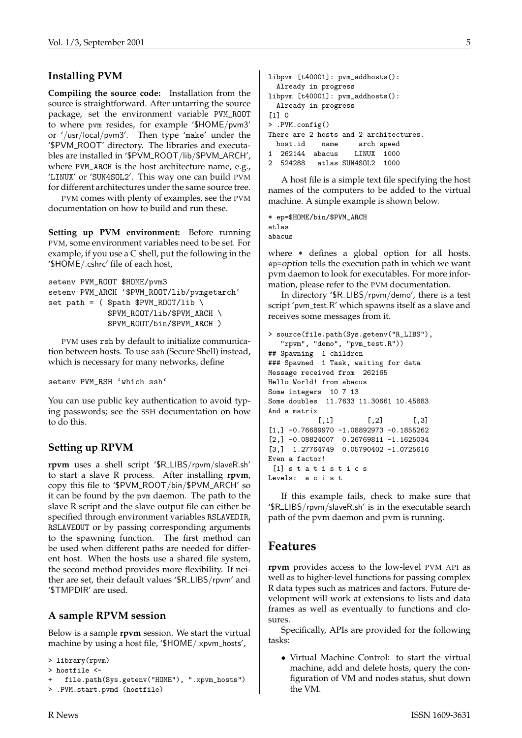#### **Installing PVM**

**Compiling the source code:** Installation from the source is straightforward. After untarring the source package, set the environment variable PVM\_ROOT to where pvm resides, for example '\$HOME/pvm3' or '/usr/local/pvm3'. Then type 'make' under the '\$PVM\_ROOT' directory. The libraries and executables are installed in '\$PVM\_ROOT/lib/\$PVM\_ARCH', where PVM\_ARCH is the host architecture name, e.g., 'LINUX' or 'SUN4SOL2'. This way one can build PVM for different architectures under the same source tree.

PVM comes with plenty of examples, see the PVM documentation on how to build and run these.

**Setting up PVM environment:** Before running PVM, some environment variables need to be set. For example, if you use a C shell, put the following in the '\$HOME/.cshrc' file of each host,

```
setenv PVM_ROOT $HOME/pvm3
setenv PVM_ARCH '$PVM_ROOT/lib/pvmgetarch'
set path = ($path $PVM_ROOT/lib \
             $PVM_ROOT/lib/$PVM_ARCH \
             $PVM_ROOT/bin/$PVM_ARCH )
```
PVM uses rsh by default to initialize communication between hosts. To use ssh (Secure Shell) instead, which is necessary for many networks, define

setenv PVM\_RSH 'which ssh'

You can use public key authentication to avoid typing passwords; see the SSH documentation on how to do this.

#### **Setting up RPVM**

**rpvm** uses a shell script '\$R LIBS/rpvm/slaveR.sh' to start a slave R process. After installing **rpvm**, copy this file to '\$PVM ROOT/bin/\$PVM ARCH' so it can be found by the pvm daemon. The path to the slave R script and the slave output file can either be specified through environment variables RSLAVEDIR, RSLAVEOUT or by passing corresponding arguments to the spawning function. The first method can be used when different paths are needed for different host. When the hosts use a shared file system, the second method provides more flexibility. If neither are set, their default values '\$R LIBS/rpvm' and '\$TMPDIR' are used.

#### **A sample RPVM session**

Below is a sample **rpvm** session. We start the virtual machine by using a host file, '\$HOME/.xpvm\_hosts',

```
> library(rpvm)
```

```
> hostfile <-
```

```
file.path(Sys.getenv("HOME"), ".xpvm_hosts")
```

```
> .PVM.start.pvmd (hostfile)
```

```
libpvm [t40001]: pvm_addhosts():
 Already in progress
libpvm [t40001]: pvm_addhosts():
 Already in progress
[1] 0> .PVM.config()
There are 2 hosts and 2 architectures.
 host.id name arch speed
1 262144 abacus LINUX 1000
2 524288 atlas SUN4SOL2 1000
```
A host file is a simple text file specifying the host names of the computers to be added to the virtual machine. A simple example is shown below.

```
* ep=$HOME/bin/$PVM_ARCH
atlas
abacus
```
where \* defines a global option for all hosts. ep=option tells the execution path in which we want pvm daemon to look for executables. For more information, please refer to the PVM documentation.

In directory '\$R LIBS/rpvm/demo', there is a test script 'pvm\_test.R' which spawns itself as a slave and receives some messages from it.

```
> source(file.path(Sys.getenv("R_LIBS"),
   "rpvm", "demo", "pvm_test.R"))
## Spawning 1 children
### Spawned 1 Task, waiting for data
Message received from 262165
Hello World! from abacus
Some integers 10 7 13
Some doubles 11.7633 11.30661 10.45883
And a matrix
           [,1] [,2] [,3][1,] -0.76689970 -1.08892973 -0.1855262
[2,] -0.08824007 0.26769811 -1.1625034
[3,] 1.27764749 0.05790402 -1.0725616
Even a factor!
 [1] s t a t i s t i c s
Levels: a c i s t
```
If this example fails, check to make sure that '\$R LIBS/rpvm/slaveR.sh' is in the executable search path of the pvm daemon and pvm is running.

#### **Features**

**rpvm** provides access to the low-level PVM API as well as to higher-level functions for passing complex R data types such as matrices and factors. Future development will work at extensions to lists and data frames as well as eventually to functions and closures.

Specifically, APIs are provided for the following tasks:

• Virtual Machine Control: to start the virtual machine, add and delete hosts, query the configuration of VM and nodes status, shut down the VM.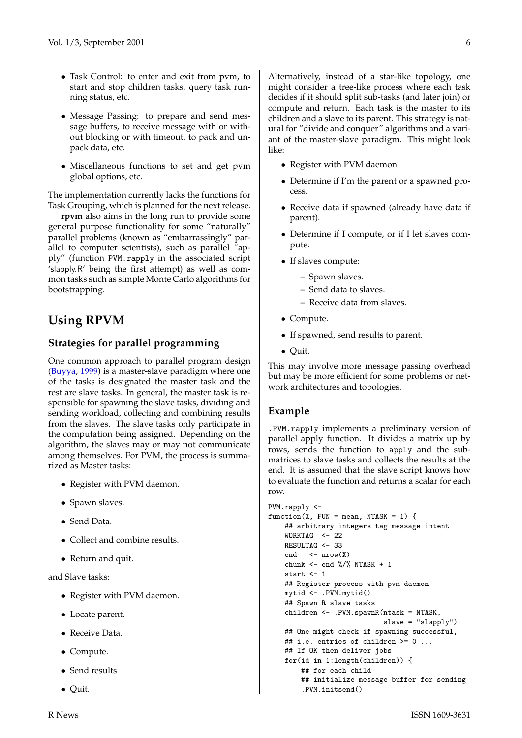- <span id="page-5-0"></span>• Task Control: to enter and exit from pvm, to start and stop children tasks, query task running status, etc.
- Message Passing: to prepare and send message buffers, to receive message with or without blocking or with timeout, to pack and unpack data, etc.
- Miscellaneous functions to set and get pvm global options, etc.

The implementation currently lacks the functions for Task Grouping, which is planned for the next release.

**rpvm** also aims in the long run to provide some general purpose functionality for some "naturally" parallel problems (known as "embarrassingly" parallel to computer scientists), such as parallel "apply" (function PVM.rapply in the associated script 'slapply.R' being the first attempt) as well as common tasks such as simple Monte Carlo algorithms for bootstrapping.

### **Using RPVM**

#### **Strategies for parallel programming**

One common approach to parallel program design [\(Buyya](#page-6-2), [1999\)](#page-6-2) is a master-slave paradigm where one of the tasks is designated the master task and the rest are slave tasks. In general, the master task is responsible for spawning the slave tasks, dividing and sending workload, collecting and combining results from the slaves. The slave tasks only participate in the computation being assigned. Depending on the algorithm, the slaves may or may not communicate among themselves. For PVM, the process is summarized as Master tasks:

- Register with PVM daemon.
- Spawn slaves.
- Send Data.
- Collect and combine results.
- Return and quit.

and Slave tasks:

- Register with PVM daemon.
- Locate parent.
- Receive Data.
- Compute.
- Send results
- Quit.

Alternatively, instead of a star-like topology, one might consider a tree-like process where each task decides if it should split sub-tasks (and later join) or compute and return. Each task is the master to its children and a slave to its parent. This strategy is natural for "divide and conquer" algorithms and a variant of the master-slave paradigm. This might look like:

- Register with PVM daemon
- Determine if I'm the parent or a spawned process.
- Receive data if spawned (already have data if parent).
- Determine if I compute, or if I let slaves compute.
- If slaves compute:
	- **–** Spawn slaves.
	- **–** Send data to slaves.
	- **–** Receive data from slaves.
- Compute.
- If spawned, send results to parent.
- Quit.

This may involve more message passing overhead but may be more efficient for some problems or network architectures and topologies.

#### **Example**

.PVM.rapply implements a preliminary version of parallel apply function. It divides a matrix up by rows, sends the function to apply and the submatrices to slave tasks and collects the results at the end. It is assumed that the slave script knows how to evaluate the function and returns a scalar for each row.

```
PVM.rapply <-
function(X, FUN = mean, NTASK = 1) {
    ## arbitrary integers tag message intent
    WORKTAG < -22RESULTAG <- 33
    end \leq - nrow(X)chunk \leftarrow end %/% NTASK + 1
    start \leftarrow 1
    ## Register process with pvm daemon
    mytid <- .PVM.mytid()
    ## Spawn R slave tasks
    children <- .PVM.spawnR(ntask = NTASK,
                             slave = "slapply")
    ## One might check if spawning successful,
    ## i.e. entries of children >= 0 ...
    ## If OK then deliver jobs
    for(id in 1:length(children)) {
        ## for each child
        ## initialize message buffer for sending
        .PVM.initsend()
```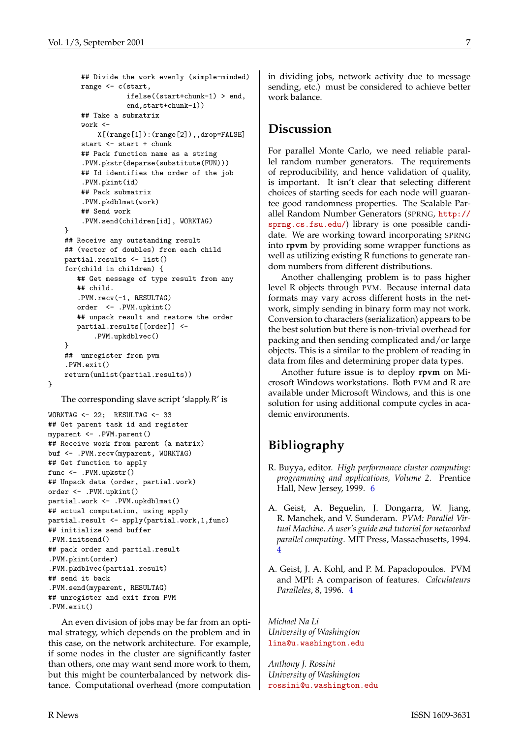```
## Divide the work evenly (simple-minded)
    range <- c(start,
               ifelse((start+chunk-1) > end,
               end,start+chunk-1))
    ## Take a submatrix
    work <-
        X[(range[1]):(range[2]),,drop=FALSE]
    start <- start + chunk
    ## Pack function name as a string
    .PVM.pkstr(deparse(substitute(FUN)))
    ## Id identifies the order of the job
    .PVM.pkint(id)
    ## Pack submatrix
    .PVM.pkdblmat(work)
    ## Send work
    .PVM.send(children[id], WORKTAG)
}
## Receive any outstanding result
## (vector of doubles) from each child
partial.results <- list()
for(child in children) {
   ## Get message of type result from any
   ## child.
   .PVM.recv(-1, RESULTAG)
   order <- .PVM.upkint()
   ## unpack result and restore the order
   partial.results[[order]] <-
       .PVM.upkdblvec()
}
## unregister from pvm
.PVM.exit()
return(unlist(partial.results))
```

```
}
```
The corresponding slave script 'slapply.R' is

```
WORKTAG <- 22; RESULTAG <- 33
## Get parent task id and register
myparent <- .PVM.parent()
## Receive work from parent (a matrix)
buf <- .PVM.recv(myparent, WORKTAG)
## Get function to apply
func <- .PVM.upkstr()
## Unpack data (order, partial.work)
order <- .PVM.upkint()
partial.work <- .PVM.upkdblmat()
## actual computation, using apply
partial.result <- apply(partial.work,1,func)
## initialize send buffer
.PVM.initsend()
## pack order and partial.result
.PVM.pkint(order)
.PVM.pkdblvec(partial.result)
## send it back
.PVM.send(myparent, RESULTAG)
## unregister and exit from PVM
.PVM.exit()
```
An even division of jobs may be far from an optimal strategy, which depends on the problem and in this case, on the network architecture. For example, if some nodes in the cluster are significantly faster than others, one may want send more work to them, but this might be counterbalanced by network distance. Computational overhead (more computation

in dividing jobs, network activity due to message sending, etc.) must be considered to achieve better work balance.

#### **Discussion**

For parallel Monte Carlo, we need reliable parallel random number generators. The requirements of reproducibility, and hence validation of quality, is important. It isn't clear that selecting different choices of starting seeds for each node will guarantee good randomness properties. The Scalable Parallel Random Number Generators (SPRNG, [http://](http://sprng.cs.fsu.edu/) [sprng.cs.fsu.edu/](http://sprng.cs.fsu.edu/)) library is one possible candidate. We are working toward incorporating SPRNG into **rpvm** by providing some wrapper functions as well as utilizing existing R functions to generate random numbers from different distributions.

Another challenging problem is to pass higher level R objects through PVM. Because internal data formats may vary across different hosts in the network, simply sending in binary form may not work. Conversion to characters (serialization) appears to be the best solution but there is non-trivial overhead for packing and then sending complicated and/or large objects. This is a similar to the problem of reading in data from files and determining proper data types.

Another future issue is to deploy **rpvm** on Microsoft Windows workstations. Both PVM and R are available under Microsoft Windows, and this is one solution for using additional compute cycles in academic environments.

# **Bibliography**

- <span id="page-6-2"></span>R. Buyya, editor. *High performance cluster computing: programming and applications, Volume 2*. Prentice Hall, New Jersey, 1999. [6](#page-5-0)
- <span id="page-6-0"></span>A. Geist, A. Beguelin, J. Dongarra, W. Jiang, R. Manchek, and V. Sunderam. *PVM: Parallel Virtual Machine. A user's guide and tutorial for networked parallel computing*. MIT Press, Massachusetts, 1994. [4](#page-3-1)
- <span id="page-6-1"></span>A. Geist, J. A. Kohl, and P. M. Papadopoulos. PVM and MPI: A comparison of features. *Calculateurs Paralleles*, 8, 1996. [4](#page-3-1)

*Michael Na Li University of Washington* [lina@u.washington.edu](mailto:lina@u.washington.edu)

*Anthony J. Rossini University of Washington* [rossini@u.washington.edu](mailto:rossini@u.washington.edu)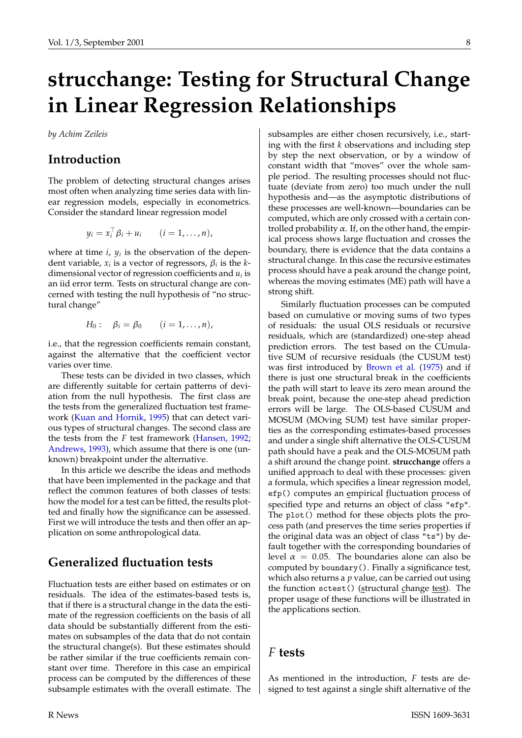# <span id="page-7-1"></span>**strucchange: Testing for Structural Change in Linear Regression Relationships**

<span id="page-7-0"></span>*by Achim Zeileis*

#### **Introduction**

The problem of detecting structural changes arises most often when analyzing time series data with linear regression models, especially in econometrics. Consider the standard linear regression model

$$
y_i = x_i^\top \beta_i + u_i \qquad (i = 1, \ldots, n),
$$

where at time  $i$ ,  $y_i$  is the observation of the dependent variable,  $x_i$  is a vector of regressors,  $\beta_i$  is the *k*dimensional vector of regression coefficients and *u<sup>i</sup>* is an iid error term. Tests on structural change are concerned with testing the null hypothesis of "no structural change"

$$
H_0: \quad \beta_i = \beta_0 \qquad (i=1,\ldots,n),
$$

i.e., that the regression coefficients remain constant, against the alternative that the coefficient vector varies over time.

These tests can be divided in two classes, which are differently suitable for certain patterns of deviation from the null hypothesis. The first class are the tests from the generalized fluctuation test framework ([Kuan and Hornik](#page-9-0), [1995\)](#page-9-0) that can detect various types of structural changes. The second class are the tests from the *F* test framework ([Hansen](#page-9-1), [1992](#page-9-1); [Andrews,](#page-9-2) [1993\)](#page-9-2), which assume that there is one (unknown) breakpoint under the alternative.

In this article we describe the ideas and methods that have been implemented in the package and that reflect the common features of both classes of tests: how the model for a test can be fitted, the results plotted and finally how the significance can be assessed. First we will introduce the tests and then offer an application on some anthropological data.

#### **Generalized fluctuation tests**

Fluctuation tests are either based on estimates or on residuals. The idea of the estimates-based tests is, that if there is a structural change in the data the estimate of the regression coefficients on the basis of all data should be substantially different from the estimates on subsamples of the data that do not contain the structural change(s). But these estimates should be rather similar if the true coefficients remain constant over time. Therefore in this case an empirical process can be computed by the differences of these subsample estimates with the overall estimate. The subsamples are either chosen recursively, i.e., starting with the first *k* observations and including step by step the next observation, or by a window of constant width that "moves" over the whole sample period. The resulting processes should not fluctuate (deviate from zero) too much under the null hypothesis and—as the asymptotic distributions of these processes are well-known—boundaries can be computed, which are only crossed with a certain controlled probability  $\alpha$ . If, on the other hand, the empirical process shows large fluctuation and crosses the boundary, there is evidence that the data contains a structural change. In this case the recursive estimates process should have a peak around the change point, whereas the moving estimates (ME) path will have a strong shift.

Similarly fluctuation processes can be computed based on cumulative or moving sums of two types of residuals: the usual OLS residuals or recursive residuals, which are (standardized) one-step ahead prediction errors. The test based on the CUmulative SUM of recursive residuals (the CUSUM test) was first introduced by [Brown et al.](#page-9-3) ([1975\)](#page-9-3) and if there is just one structural break in the coefficients the path will start to leave its zero mean around the break point, because the one-step ahead prediction errors will be large. The OLS-based CUSUM and MOSUM (MOving SUM) test have similar properties as the corresponding estimates-based processes and under a single shift alternative the OLS-CUSUM path should have a peak and the OLS-MOSUM path a shift around the change point. **strucchange** offers a unified approach to deal with these processes: given a formula, which specifies a linear regression model, efp() computes an empirical fluctuation process of specified type and returns an object of class "efp". The plot() method for these objects plots the process path (and preserves the time series properties if the original data was an object of class "ts") by default together with the corresponding boundaries of level  $\alpha = 0.05$ . The boundaries alone can also be computed by boundary(). Finally a significance test, which also returns a *p* value, can be carried out using the function sctest() (structural change test). The proper usage of these functions will be illustrated in the applications section.

#### *F* **tests**

As mentioned in the introduction, *F* tests are designed to test against a single shift alternative of the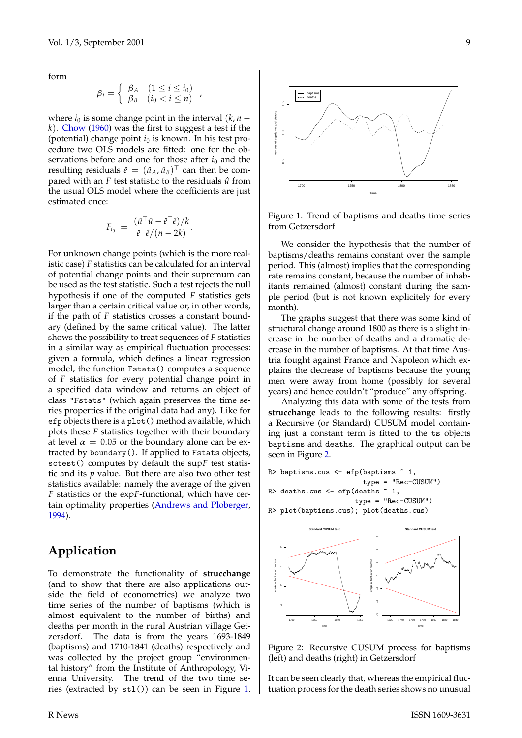<span id="page-8-2"></span>form

$$
\beta_i = \left\{ \begin{array}{ll} \beta_A & (1 \leq i \leq i_0) \\ \beta_B & (i_0 < i \leq n) \end{array} \right.,
$$

where  $i_0$  is some change point in the interval  $(k, n - 1)$ *k*). [Chow](#page-9-4) [\(1960\)](#page-9-4) was the first to suggest a test if the (potential) change point *i*<sup>0</sup> is known. In his test procedure two OLS models are fitted: one for the observations before and one for those after  $i_0$  and the resulting residuals  $\hat{e} = (\hat{u}_A, \hat{u}_B)^\top$  can then be compared with an  $F$  test statistic to the residuals  $\hat{u}$  from the usual OLS model where the coefficients are just estimated once:

$$
F_{i_0} = \frac{(\hat{u}^\top \hat{u} - \hat{e}^\top \hat{e})/k}{\hat{e}^\top \hat{e}/(n-2k)}.
$$

For unknown change points (which is the more realistic case) *F* statistics can be calculated for an interval of potential change points and their supremum can be used as the test statistic. Such a test rejects the null hypothesis if one of the computed *F* statistics gets larger than a certain critical value or, in other words, if the path of *F* statistics crosses a constant boundary (defined by the same critical value). The latter shows the possibility to treat sequences of *F* statistics in a similar way as empirical fluctuation processes: given a formula, which defines a linear regression model, the function Fstats() computes a sequence of *F* statistics for every potential change point in a specified data window and returns an object of class "Fstats" (which again preserves the time series properties if the original data had any). Like for efp objects there is a plot() method available, which plots these *F* statistics together with their boundary at level  $\alpha = 0.05$  or the boundary alone can be extracted by boundary(). If applied to Fstats objects, sctest() computes by default the sup*F* test statistic and its *p* value. But there are also two other test statistics available: namely the average of the given *F* statistics or the exp*F*-functional, which have certain optimality properties [\(Andrews and Ploberger](#page-9-5), [1994\)](#page-9-5).

### **Application**

To demonstrate the functionality of **strucchange** (and to show that there are also applications outside the field of econometrics) we analyze two time series of the number of baptisms (which is almost equivalent to the number of births) and deaths per month in the rural Austrian village Getzersdorf. The data is from the years 1693-1849 (baptisms) and 1710-1841 (deaths) respectively and was collected by the project group "environmental history" from the Institute of Anthropology, Vienna University. The trend of the two time series (extracted by stl()) can be seen in Figure [1](#page-8-0).



<span id="page-8-0"></span>Figure 1: Trend of baptisms and deaths time series from Getzersdorf

We consider the hypothesis that the number of baptisms/deaths remains constant over the sample period. This (almost) implies that the corresponding rate remains constant, because the number of inhabitants remained (almost) constant during the sample period (but is not known explicitely for every month).

The graphs suggest that there was some kind of structural change around 1800 as there is a slight increase in the number of deaths and a dramatic decrease in the number of baptisms. At that time Austria fought against France and Napoleon which explains the decrease of baptisms because the young men were away from home (possibly for several years) and hence couldn't "produce" any offspring.

Analyzing this data with some of the tests from **strucchange** leads to the following results: firstly a Recursive (or Standard) CUSUM model containing just a constant term is fitted to the ts objects baptisms and deaths. The graphical output can be seen in Figure [2](#page-8-1).

```
R> baptisms.cus \leq efp(baptisms \leq 1,
                          type = "Rec-CUSUM")
R> deaths.cus <- efp(deaths \degree 1,
                       type = "Rec-CUSUM")
```

```
R> plot(baptisms.cus); plot(deaths.cus)
```


<span id="page-8-1"></span>Figure 2: Recursive CUSUM process for baptisms (left) and deaths (right) in Getzersdorf

It can be seen clearly that, whereas the empirical fluctuation process for the death series shows no unusual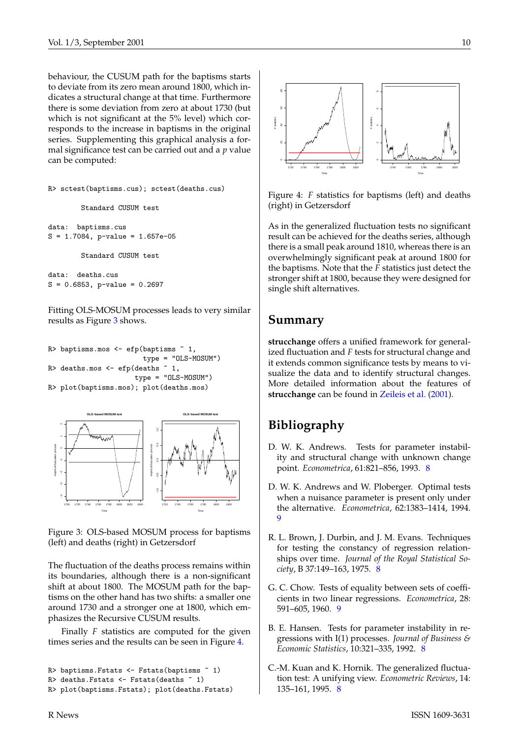<span id="page-9-8"></span>behaviour, the CUSUM path for the baptisms starts to deviate from its zero mean around 1800, which indicates a structural change at that time. Furthermore there is some deviation from zero at about 1730 (but which is not significant at the 5% level) which corresponds to the increase in baptisms in the original series. Supplementing this graphical analysis a formal significance test can be carried out and a *p* value can be computed:

```
R> sctest(baptisms.cus); sctest(deaths.cus)
```
Standard CUSUM test

```
data: baptisms.cus
S = 1.7084, p-value = 1.657e-05
```
Standard CUSUM test

data: deaths.cus  $S = 0.6853$ , p-value = 0.2697

Fitting OLS-MOSUM processes leads to very similar results as Figure [3](#page-9-6) shows.

```
R> baptisms.mos <- efp(baptisms ~ 1,
                        type = "OLS-MOSUM")
R> deaths.mos <- efp(deaths \degree 1,
                      type = "OLS-MOSUM")
R> plot(baptisms.mos); plot(deaths.mos)
```


<span id="page-9-6"></span>Figure 3: OLS-based MOSUM process for baptisms (left) and deaths (right) in Getzersdorf

The fluctuation of the deaths process remains within its boundaries, although there is a non-significant shift at about 1800. The MOSUM path for the baptisms on the other hand has two shifts: a smaller one around 1730 and a stronger one at 1800, which emphasizes the Recursive CUSUM results.

Finally *F* statistics are computed for the given times series and the results can be seen in Figure [4.](#page-9-7)

```
R> baptisms.Fstats <- Fstats(baptisms ~ 1)
R> deaths.Fstats <- Fstats(deaths ~ 1)
R> plot(baptisms.Fstats); plot(deaths.Fstats)
```


<span id="page-9-7"></span>Figure 4: *F* statistics for baptisms (left) and deaths (right) in Getzersdorf

As in the generalized fluctuation tests no significant result can be achieved for the deaths series, although there is a small peak around 1810, whereas there is an overwhelmingly significant peak at around 1800 for the baptisms. Note that the *F* statistics just detect the stronger shift at 1800, because they were designed for single shift alternatives.

#### **Summary**

**strucchange** offers a unified framework for generalized fluctuation and *F* tests for structural change and it extends common significance tests by means to visualize the data and to identify structural changes. More detailed information about the features of **strucchange** can be found in [Zeileis et al.](#page-10-1) ([2001\)](#page-10-1).

# **Bibliography**

- <span id="page-9-2"></span>D. W. K. Andrews. Tests for parameter instability and structural change with unknown change point. *Econometrica*, 61:821–856, 1993. [8](#page-7-1)
- <span id="page-9-5"></span>D. W. K. Andrews and W. Ploberger. Optimal tests when a nuisance parameter is present only under the alternative. *Econometrica*, 62:1383–1414, 1994. [9](#page-8-2)
- <span id="page-9-3"></span>R. L. Brown, J. Durbin, and J. M. Evans. Techniques for testing the constancy of regression relationships over time. *Journal of the Royal Statistical Society*, B 37:149–163, 1975. [8](#page-7-1)
- <span id="page-9-4"></span>G. C. Chow. Tests of equality between sets of coefficients in two linear regressions. *Econometrica*, 28: 591–605, 1960. [9](#page-8-2)
- <span id="page-9-1"></span>B. E. Hansen. Tests for parameter instability in regressions with I(1) processes. *Journal of Business & Economic Statistics*, 10:321–335, 1992. [8](#page-7-1)
- <span id="page-9-0"></span>C.-M. Kuan and K. Hornik. The generalized fluctuation test: A unifying view. *Econometric Reviews*, 14: 135–161, 1995. [8](#page-7-1)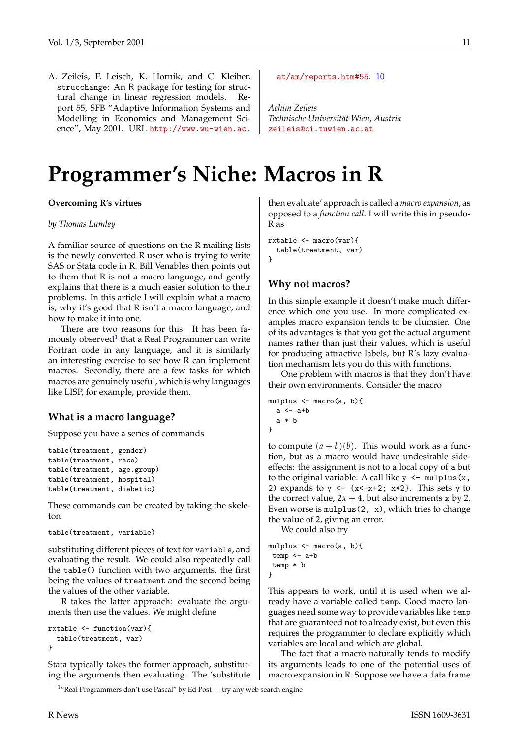<span id="page-10-1"></span>A. Zeileis, F. Leisch, K. Hornik, and C. Kleiber. strucchange: An R package for testing for structural change in linear regression models. Report 55, SFB "Adaptive Information Systems and Modelling in Economics and Management Science", May 2001. URL [http://www.wu-wien.ac.](http://www.wu-wien.ac.at/am/reports.htm#55)

#### [at/am/reports.htm#55](http://www.wu-wien.ac.at/am/reports.htm#55). [10](#page-9-8)

*Achim Zeileis Technische Universität Wien, Austria* [zeileis@ci.tuwien.ac.at](mailto:zeileis@ci.tuwien.ac.at)

# **Programmer's Niche: Macros in R**

<span id="page-10-0"></span>**Overcoming R's virtues**

#### *by Thomas Lumley*

A familiar source of questions on the R mailing lists is the newly converted R user who is trying to write SAS or Stata code in R. Bill Venables then points out to them that R is not a macro language, and gently explains that there is a much easier solution to their problems. In this article I will explain what a macro is, why it's good that R isn't a macro language, and how to make it into one.

There are two reasons for this. It has been famously observed $^1$  $^1$  that a Real Programmer can write Fortran code in any language, and it is similarly an interesting exercise to see how R can implement macros. Secondly, there are a few tasks for which macros are genuinely useful, which is why languages like LISP, for example, provide them.

#### **What is a macro language?**

Suppose you have a series of commands

```
table(treatment, gender)
table(treatment, race)
table(treatment, age.group)
table(treatment, hospital)
table(treatment, diabetic)
```
These commands can be created by taking the skeleton

```
table(treatment, variable)
```
substituting different pieces of text for variable, and evaluating the result. We could also repeatedly call the table() function with two arguments, the first being the values of treatment and the second being the values of the other variable.

R takes the latter approach: evaluate the arguments then use the values. We might define

```
rxtable <- function(var){
  table(treatment, var)
}
```
Stata typically takes the former approach, substituting the arguments then evaluating. The 'substitute

then evaluate' approach is called a *macro expansion*, as opposed to a *function call*. I will write this in pseudo-R as

```
rxtable <- macro(var){
  table(treatment, var)
}
```
#### **Why not macros?**

In this simple example it doesn't make much difference which one you use. In more complicated examples macro expansion tends to be clumsier. One of its advantages is that you get the actual argument names rather than just their values, which is useful for producing attractive labels, but R's lazy evaluation mechanism lets you do this with functions.

One problem with macros is that they don't have their own environments. Consider the macro

```
mulplus <- macro(a, b){
  a \leftarrow a+ba * b
}
```
to compute  $(a + b)(b)$ . This would work as a function, but as a macro would have undesirable sideeffects: the assignment is not to a local copy of a but to the original variable. A call like  $y \leq -m\nu$ 2) expands to  $y \leftarrow \{x \leftarrow x+2; x \cdot 2\}$ . This sets y to the correct value,  $2x + 4$ , but also increments x by 2. Even worse is  $mulplus(2, x)$ , which tries to change the value of 2, giving an error.

We could also try

```
mulplus <- macro(a, b){
 temp \leftarrow a+btemp * b
}
```
This appears to work, until it is used when we already have a variable called temp. Good macro languages need some way to provide variables like temp that are guaranteed not to already exist, but even this requires the programmer to declare explicitly which variables are local and which are global.

The fact that a macro naturally tends to modify its arguments leads to one of the potential uses of macro expansion in R. Suppose we have a data frame

<span id="page-10-2"></span><sup>&</sup>lt;sup>1</sup>"Real Programmers don't use Pascal" by Ed Post — try any web search engine

R News ISSN 1609-3631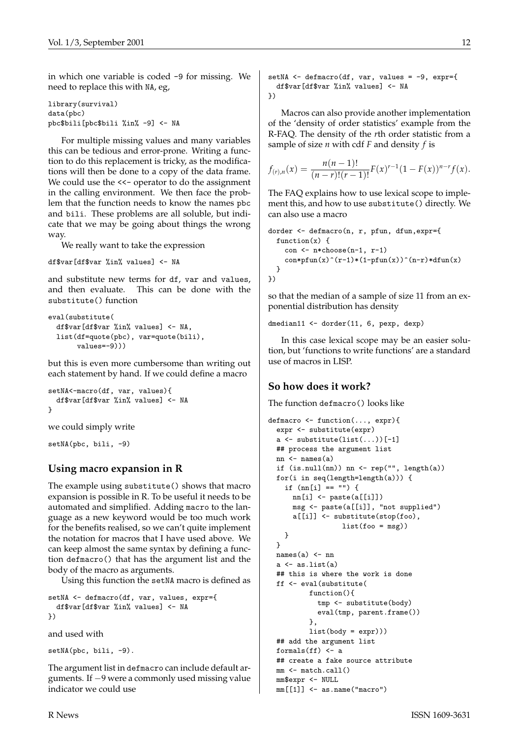in which one variable is coded -9 for missing. We need to replace this with NA, eg,

```
library(survival)
data(pbc)
pbc$bili[pbc$bili %in% -9] <- NA
```
For multiple missing values and many variables this can be tedious and error-prone. Writing a function to do this replacement is tricky, as the modifications will then be done to a copy of the data frame. We could use the <<- operator to do the assignment in the calling environment. We then face the problem that the function needs to know the names pbc and bili. These problems are all soluble, but indicate that we may be going about things the wrong way.

We really want to take the expression

```
df$var[df$var %in% values] <- NA
```
and substitute new terms for df, var and values, and then evaluate. This can be done with the substitute() function

```
eval(substitute(
 df$var[df$var %in% values] <- NA,
 list(df=quote(pbc), var=quote(bili),
       values=-9)))
```
but this is even more cumbersome than writing out each statement by hand. If we could define a macro

```
setNA<-macro(df, var, values){
 df$var[df$var %in% values] <- NA
}
```
we could simply write

```
setNA(pbc, bili, -9)
```
#### **Using macro expansion in R**

The example using substitute() shows that macro expansion is possible in R. To be useful it needs to be automated and simplified. Adding macro to the language as a new keyword would be too much work for the benefits realised, so we can't quite implement the notation for macros that I have used above. We can keep almost the same syntax by defining a function defmacro() that has the argument list and the body of the macro as arguments.

Using this function the setNA macro is defined as

```
setNA <- defmacro(df, var, values, expr={
 df$var[df$var %in% values] <- NA
})
```
and used with

setNA(pbc, bili, -9).

The argument list in defmacro can include default arguments. If −9 were a commonly used missing value indicator we could use

```
setNA <- defmacro(df, var, values = -9, expr={
 df$var[df$var %in% values] <- NA
})
```
Macros can also provide another implementation of the 'density of order statistics' example from the R-FAQ. The density of the *r*th order statistic from a sample of size *n* with cdf *F* and density *f* is

$$
f_{(r),n}(x) = \frac{n(n-1)!}{(n-r)!(r-1)!}F(x)^{r-1}(1-F(x))^{n-r}f(x).
$$

The FAQ explains how to use lexical scope to implement this, and how to use substitute() directly. We can also use a macro

```
dorder <- defmacro(n, r, pfun, dfun,expr={
  function(x) {
    con <- n*choose(n-1, r-1)
    con*pfun(x)^(r-1)*(1-pfun(x))^(n-r)*dfun(x)
 }
})
```
so that the median of a sample of size 11 from an exponential distribution has density

```
dmedian11 <- dorder(11, 6, pexp, dexp)
```
In this case lexical scope may be an easier solution, but 'functions to write functions' are a standard use of macros in LISP.

#### **So how does it work?**

The function defmacro() looks like

```
defmacro <- function(..., expr){
  expr <- substitute(expr)
  a \leftarrow substitute(list(...))[-1]## process the argument list
  nn <- names(a)
  if (is.null(nn)) nn \leftarrow rep("", length(a))for(i in seq(length=length(a))) {
    if (nn[i] == "") {
      nn[i] <- paste(a[[i]])
      msg <- paste(a[[i]], "not supplied")
      a[[i]] <- substitute(stop(foo),
                   list(foo = msg))}
  \mathbf{r}names(a) <- nn
  a <- as.list(a)
  ## this is where the work is done
  ff <- eval(substitute(
          function(){
            tmp <- substitute(body)
            eval(tmp, parent.frame())
          },
          list(body = expr)))## add the argument list
  formals(ff) <- a
  ## create a fake source attribute
  mm <- match.call()
  mm$expr <- NULL
  mm[[1]] \leftarrow as.name("macro")
```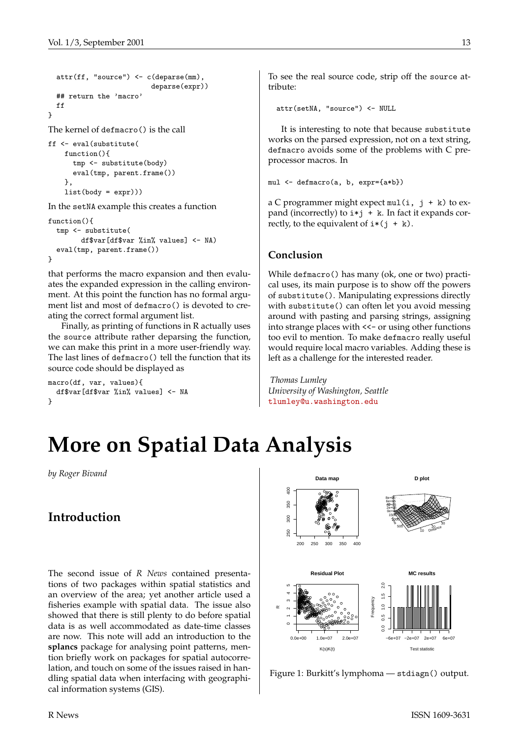```
attr(ff, "source") <- c(deparse(mm),
                          deparse(expr))
  ## return the 'macro'
  ff
}
```
The kernel of defmacro() is the call

```
ff <- eval(substitute(
   function(){
     tmp <- substitute(body)
      eval(tmp, parent.frame())
   },
    list(body = expr)))
```
In the setNA example this creates a function

```
function(){
  tmp <- substitute(
        df$var[df$var %in% values] <- NA)
  eval(tmp, parent.frame())
}
```
that performs the macro expansion and then evaluates the expanded expression in the calling environment. At this point the function has no formal argument list and most of defmacro() is devoted to creating the correct formal argument list.

Finally, as printing of functions in R actually uses the source attribute rather deparsing the function, we can make this print in a more user-friendly way. The last lines of defmacro() tell the function that its source code should be displayed as

```
macro(df, var, values){
  df$var[df$var %in% values] <- NA
}
```
To see the real source code, strip off the source attribute:

attr(setNA, "source") <- NULL

It is interesting to note that because substitute works on the parsed expression, not on a text string, defmacro avoids some of the problems with C preprocessor macros. In

```
mul <- defmacro(a, b, expr={a*b})
```
a C programmer might expect  $mul(i, j + k)$  to expand (incorrectly) to  $i * j + k$ . In fact it expands correctly, to the equivalent of  $i*(j + k)$ .

#### **Conclusion**

While defmacro() has many (ok, one or two) practical uses, its main purpose is to show off the powers of substitute(). Manipulating expressions directly with substitute() can often let you avoid messing around with pasting and parsing strings, assigning into strange places with  $<<$  or using other functions too evil to mention. To make defmacro really useful would require local macro variables. Adding these is left as a challenge for the interested reader.

*Thomas Lumley University of Washington, Seattle* [tlumley@u.washington.edu](mailto:tlumley@u.washington.edu)

# **More on Spatial Data Analysis**

<span id="page-12-0"></span>*by Roger Bivand*

# **Introduction**

The second issue of *R News* contained presentations of two packages within spatial statistics and an overview of the area; yet another article used a fisheries example with spatial data. The issue also showed that there is still plenty to do before spatial data is as well accommodated as date-time classes are now. This note will add an introduction to the **splancs** package for analysing point patterns, mention briefly work on packages for spatial autocorrelation, and touch on some of the issues raised in handling spatial data when interfacing with geographical information systems (GIS).



<span id="page-12-1"></span>Figure 1: Burkitt's lymphoma — stdiagn() output.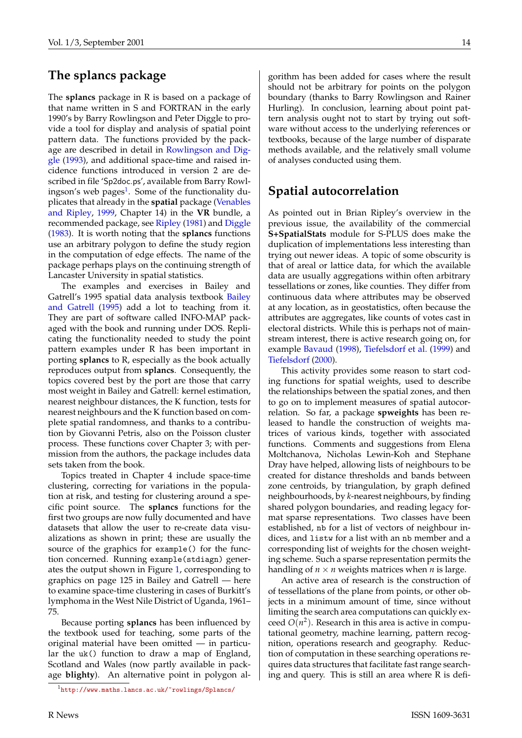#### <span id="page-13-1"></span>**The splancs package**

The **splancs** package in R is based on a package of that name written in S and FORTRAN in the early 1990's by Barry Rowlingson and Peter Diggle to provide a tool for display and analysis of spatial point pattern data. The functions provided by the package are described in detail in [Rowlingson and Dig](#page-15-0)[gle](#page-15-0) ([1993\)](#page-15-0), and additional space-time and raised incidence functions introduced in version 2 are described in file 'Sp2doc.ps', available from Barry Rowl-ingson's web pages<sup>[1](#page-13-0)</sup>. Some of the functionality duplicates that already in the **spatial** package ([Venables](#page-16-1) [and Ripley](#page-16-1), [1999,](#page-16-1) Chapter 14) in the **VR** bundle, a recommended package, see [Ripley](#page-15-1) [\(1981\)](#page-15-1) and [Diggle](#page-15-2) [\(1983](#page-15-2)). It is worth noting that the **splancs** functions use an arbitrary polygon to define the study region in the computation of edge effects. The name of the package perhaps plays on the continuing strength of Lancaster University in spatial statistics.

The examples and exercises in Bailey and Gatrell's 1995 spatial data analysis textbook [Bailey](#page-15-3) [and Gatrell](#page-15-3) ([1995\)](#page-15-3) add a lot to teaching from it. They are part of software called INFO-MAP packaged with the book and running under DOS. Replicating the functionality needed to study the point pattern examples under R has been important in porting **splancs** to R, especially as the book actually reproduces output from **splancs**. Consequently, the topics covered best by the port are those that carry most weight in Bailey and Gatrell: kernel estimation, nearest neighbour distances, the K function, tests for nearest neighbours and the K function based on complete spatial randomness, and thanks to a contribution by Giovanni Petris, also on the Poisson cluster process. These functions cover Chapter 3; with permission from the authors, the package includes data sets taken from the book.

Topics treated in Chapter 4 include space-time clustering, correcting for variations in the population at risk, and testing for clustering around a specific point source. The **splancs** functions for the first two groups are now fully documented and have datasets that allow the user to re-create data visualizations as shown in print; these are usually the source of the graphics for example() for the function concerned. Running example(stdiagn) generates the output shown in Figure [1,](#page-12-1) corresponding to graphics on page 125 in Bailey and Gatrell — here to examine space-time clustering in cases of Burkitt's lymphoma in the West Nile District of Uganda, 1961– 75.

Because porting **splancs** has been influenced by the textbook used for teaching, some parts of the original material have been omitted — in particular the uk() function to draw a map of England, Scotland and Wales (now partly available in package **blighty**). An alternative point in polygon al-

gorithm has been added for cases where the result should not be arbitrary for points on the polygon boundary (thanks to Barry Rowlingson and Rainer Hurling). In conclusion, learning about point pattern analysis ought not to start by trying out software without access to the underlying references or textbooks, because of the large number of disparate methods available, and the relatively small volume of analyses conducted using them.

#### **Spatial autocorrelation**

As pointed out in Brian Ripley's overview in the previous issue, the availability of the commercial **S+SpatialStats** module for S-PLUS does make the duplication of implementations less interesting than trying out newer ideas. A topic of some obscurity is that of areal or lattice data, for which the available data are usually aggregations within often arbitrary tessellations or zones, like counties. They differ from continuous data where attributes may be observed at any location, as in geostatistics, often because the attributes are aggregates, like counts of votes cast in electoral districts. While this is perhaps not of mainstream interest, there is active research going on, for example [Bavaud](#page-15-4) ([1998](#page-15-4)), [Tiefelsdorf et al.](#page-16-2) ([1999\)](#page-16-2) and [Tiefelsdorf](#page-16-3) ([2000\)](#page-16-3).

This activity provides some reason to start coding functions for spatial weights, used to describe the relationships between the spatial zones, and then to go on to implement measures of spatial autocorrelation. So far, a package **spweights** has been released to handle the construction of weights matrices of various kinds, together with associated functions. Comments and suggestions from Elena Moltchanova, Nicholas Lewin-Koh and Stephane Dray have helped, allowing lists of neighbours to be created for distance thresholds and bands between zone centroids, by triangulation, by graph defined neighbourhoods, by *k*-nearest neighbours, by finding shared polygon boundaries, and reading legacy format sparse representations. Two classes have been established, nb for a list of vectors of neighbour indices, and listw for a list with an nb member and a corresponding list of weights for the chosen weighting scheme. Such a sparse representation permits the handling of  $n \times n$  weights matrices when *n* is large.

An active area of research is the construction of of tessellations of the plane from points, or other objects in a minimum amount of time, since without limiting the search area computations can quickly exceed  $O(n^2)$ . Research in this area is active in computational geometry, machine learning, pattern recognition, operations research and geography. Reduction of computation in these searching operations requires data structures that facilitate fast range searching and query. This is still an area where R is defi-

<span id="page-13-0"></span><sup>1</sup><http://www.maths.lancs.ac.uk/~rowlings/Splancs/>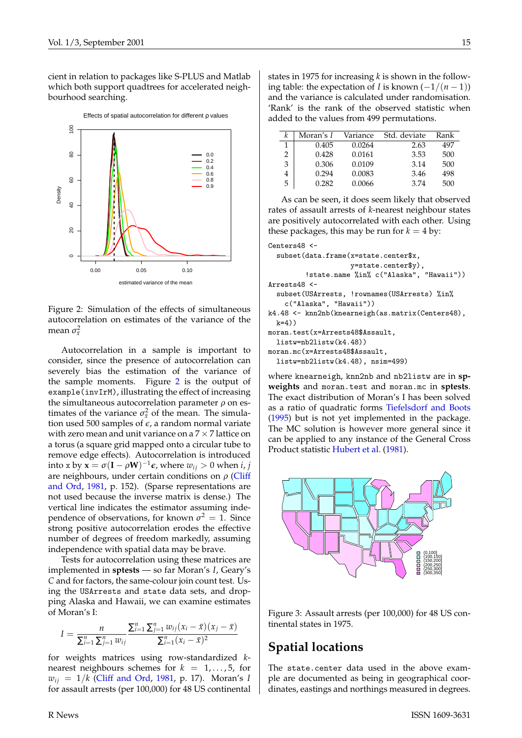<span id="page-14-2"></span>cient in relation to packages like S-PLUS and Matlab which both support quadtrees for accelerated neighbourhood searching.



<span id="page-14-0"></span>Figure 2: Simulation of the effects of simultaneous autocorrelation on estimates of the variance of the mean  $\sigma_{\bar{x}}^2$ 

Autocorrelation in a sample is important to consider, since the presence of autocorrelation can severely bias the estimation of the variance of the sample moments. Figure [2](#page-14-0) is the output of example(invIrM), illustrating the effect of increasing the simultaneous autocorrelation parameter  $\rho$  on estimates of the variance  $\sigma_{\bar{x}}^2$  of the mean. The simulation used 500 samples of  $\epsilon$ , a random normal variate with zero mean and unit variance on a  $7 \times 7$  lattice on a torus (a square grid mapped onto a circular tube to remove edge effects). Autocorrelation is introduced into x by  $\mathbf{x} = \sigma(\mathbf{I} - \rho \mathbf{W})^{-1} \boldsymbol{\epsilon}$ , where  $w_{ij} > 0$  when *i*, *j* are neighbours, under certain conditions on  $\rho$  ([Cliff](#page-15-5) [and Ord](#page-15-5), [1981](#page-15-5), p. 152). (Sparse representations are not used because the inverse matrix is dense.) The vertical line indicates the estimator assuming independence of observations, for known  $\sigma^2 = 1$ . Since strong positive autocorrelation erodes the effective number of degrees of freedom markedly, assuming independence with spatial data may be brave.

Tests for autocorrelation using these matrices are implemented in **sptests** — so far Moran's *I*, Geary's *C* and for factors, the same-colour join count test. Using the USArrests and state data sets, and dropping Alaska and Hawaii, we can examine estimates of Moran's I:

$$
I = \frac{n}{\sum_{i=1}^{n} \sum_{j=1}^{n} w_{ij}} \frac{\sum_{i=1}^{n} \sum_{j=1}^{n} w_{ij} (x_i - \bar{x}) (x_j - \bar{x})}{\sum_{i=1}^{n} (x_i - \bar{x})^2}
$$

for weights matrices using row-standardized *k*nearest neighbours schemes for  $k = 1, \ldots, 5$ , for  $w_{ii} = 1/k$  ([Cliff and Ord,](#page-15-5) [1981](#page-15-5), p. 17). Moran's *I* for assault arrests (per 100,000) for 48 US continental

states in 1975 for increasing *k* is shown in the following table: the expectation of *I* is known (−1/(*n* − 1)) and the variance is calculated under randomisation. 'Rank' is the rank of the observed statistic when added to the values from 499 permutations.

|   | Moran's I | Variance | Std. deviate | Rank |
|---|-----------|----------|--------------|------|
| 1 | 0.405     | 0.0264   | 2.63         | 497  |
| 2 | 0.428     | 0.0161   | 3.53         | 500  |
| 3 | 0.306     | 0.0109   | 3.14         | 500  |
|   | 0.294     | 0.0083   | 3.46         | 498  |
| 5 | 0.282     | 0.0066   | 3.74         | 500  |

As can be seen, it does seem likely that observed rates of assault arrests of *k*-nearest neighbour states are positively autocorrelated with each other. Using these packages, this may be run for  $k = 4$  by:

```
Centers48 <-
  subset(data.frame(x=state.center$x,
                    y=state.center$y),
         !state.name %in% c("Alaska", "Hawaii"))
Arrests48 <-
  subset(USArrests, !rownames(USArrests) %in%
   c("Alaska", "Hawaii"))
k4.48 <- knn2nb(knearneigh(as.matrix(Centers48),
 k=4))
moran.test(x=Arrests48$Assault,
 listw=nb2listw(k4.48))
moran.mc(x=Arrests48$Assault,
 listw=nb2listw(k4.48), nsim=499)
```
where knearneigh, knn2nb and nb2listw are in **spweights** and moran.test and moran.mc in **sptests**. The exact distribution of Moran's I has been solved as a ratio of quadratic forms [Tiefelsdorf and Boots](#page-16-4) [\(1995](#page-16-4)) but is not yet implemented in the package. The MC solution is however more general since it can be applied to any instance of the General Cross Product statistic [Hubert et al.](#page-15-6) [\(1981](#page-15-6)).



<span id="page-14-1"></span>Figure 3: Assault arrests (per 100,000) for 48 US continental states in 1975.

#### **Spatial locations**

The state.center data used in the above example are documented as being in geographical coordinates, eastings and northings measured in degrees.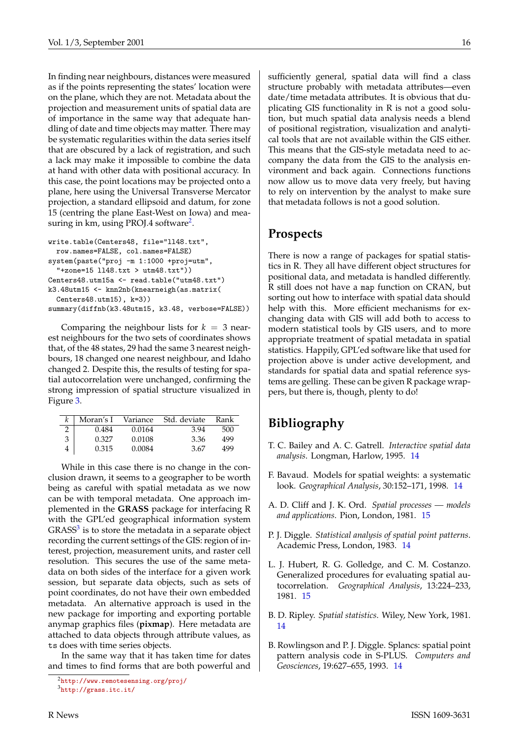In finding near neighbours, distances were measured as if the points representing the states' location were on the plane, which they are not. Metadata about the projection and measurement units of spatial data are of importance in the same way that adequate handling of date and time objects may matter. There may be systematic regularities within the data series itself that are obscured by a lack of registration, and such a lack may make it impossible to combine the data at hand with other data with positional accuracy. In this case, the point locations may be projected onto a plane, here using the Universal Transverse Mercator projection, a standard ellipsoid and datum, for zone 15 (centring the plane East-West on Iowa) and measuring in km, using PROJ.4 software $^2$  $^2$ .

```
write.table(Centers48, file="ll48.txt",
  row.names=FALSE, col.names=FALSE)
system(paste("proj -m 1:1000 +proj=utm",
  "+zone=15 ll48.txt > utm48.txt"))
Centers48.utm15a <- read.table("utm48.txt")
k3.48utm15 <- knn2nb(knearneigh(as.matrix(
  Centers48.utm15), k=3))
summary(diffnb(k3.48utm15, k3.48, verbose=FALSE))
```
Comparing the neighbour lists for  $k = 3$  nearest neighbours for the two sets of coordinates shows that, of the 48 states, 29 had the same 3 nearest neighbours, 18 changed one nearest neighbour, and Idaho changed 2. Despite this, the results of testing for spatial autocorrelation were unchanged, confirming the strong impression of spatial structure visualized in Figure [3.](#page-14-1)

|   | Moran's I | Variance | Std. deviate | Rank |
|---|-----------|----------|--------------|------|
|   | 0.484     | 0.0164   | 3.94         | 500  |
| 3 | 0.327     | 0.0108   | 3.36         | 499  |
|   | 0.315     | 0.0084   | 3.67         | 499  |

While in this case there is no change in the conclusion drawn, it seems to a geographer to be worth being as careful with spatial metadata as we now can be with temporal metadata. One approach implemented in the **GRASS** package for interfacing R with the GPL'ed geographical information system  $GRASS<sup>3</sup>$  $GRASS<sup>3</sup>$  $GRASS<sup>3</sup>$  is to store the metadata in a separate object recording the current settings of the GIS: region of interest, projection, measurement units, and raster cell resolution. This secures the use of the same metadata on both sides of the interface for a given work session, but separate data objects, such as sets of point coordinates, do not have their own embedded metadata. An alternative approach is used in the new package for importing and exporting portable anymap graphics files (**pixmap**). Here metadata are attached to data objects through attribute values, as ts does with time series objects.

In the same way that it has taken time for dates and times to find forms that are both powerful and sufficiently general, spatial data will find a class structure probably with metadata attributes—even date/time metadata attributes. It is obvious that duplicating GIS functionality in R is not a good solution, but much spatial data analysis needs a blend of positional registration, visualization and analytical tools that are not available within the GIS either. This means that the GIS-style metadata need to accompany the data from the GIS to the analysis environment and back again. Connections functions now allow us to move data very freely, but having to rely on intervention by the analyst to make sure that metadata follows is not a good solution.

#### **Prospects**

There is now a range of packages for spatial statistics in R. They all have different object structures for positional data, and metadata is handled differently. R still does not have a map function on CRAN, but sorting out how to interface with spatial data should help with this. More efficient mechanisms for exchanging data with GIS will add both to access to modern statistical tools by GIS users, and to more appropriate treatment of spatial metadata in spatial statistics. Happily, GPL'ed software like that used for projection above is under active development, and standards for spatial data and spatial reference systems are gelling. These can be given R package wrappers, but there is, though, plenty to do!

# **Bibliography**

- <span id="page-15-3"></span>T. C. Bailey and A. C. Gatrell. *Interactive spatial data analysis*. Longman, Harlow, 1995. [14](#page-13-1)
- <span id="page-15-4"></span>F. Bavaud. Models for spatial weights: a systematic look. *Geographical Analysis*, 30:152–171, 1998. [14](#page-13-1)
- <span id="page-15-5"></span>A. D. Cliff and J. K. Ord. *Spatial processes — models and applications*. Pion, London, 1981. [15](#page-14-2)
- <span id="page-15-2"></span>P. J. Diggle. *Statistical analysis of spatial point patterns*. Academic Press, London, 1983. [14](#page-13-1)
- <span id="page-15-6"></span>L. J. Hubert, R. G. Golledge, and C. M. Costanzo. Generalized procedures for evaluating spatial autocorrelation. *Geographical Analysis*, 13:224–233, 1981. [15](#page-14-2)
- <span id="page-15-1"></span>B. D. Ripley. *Spatial statistics*. Wiley, New York, 1981. [14](#page-13-1)
- <span id="page-15-0"></span>B. Rowlingson and P. J. Diggle. Splancs: spatial point pattern analysis code in S-PLUS. *Computers and Geosciences*, 19:627–655, 1993. [14](#page-13-1)

<span id="page-15-8"></span><span id="page-15-7"></span><sup>2</sup><http://www.remotesensing.org/proj/> <sup>3</sup><http://grass.itc.it/>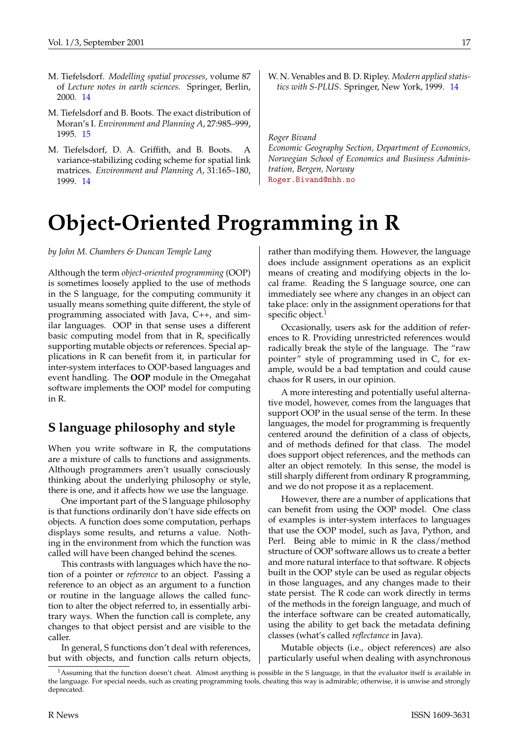- <span id="page-16-3"></span>M. Tiefelsdorf. *Modelling spatial processes*, volume 87 of *Lecture notes in earth sciences*. Springer, Berlin, 2000. [14](#page-13-1)
- <span id="page-16-4"></span>M. Tiefelsdorf and B. Boots. The exact distribution of Moran's I. *Environment and Planning A*, 27:985–999, 1995. [15](#page-14-2)
- <span id="page-16-2"></span>M. Tiefelsdorf, D. A. Griffith, and B. Boots. A variance-stabilizing coding scheme for spatial link matrices. *Environment and Planning A*, 31:165–180, 1999. [14](#page-13-1)
- <span id="page-16-1"></span>W. N. Venables and B. D. Ripley. *Modern applied statistics with S-PLUS*. Springer, New York, 1999. [14](#page-13-1)

*Roger Bivand*

*Economic Geography Section, Department of Economics, Norwegian School of Economics and Business Administration, Bergen, Norway* [Roger.Bivand@nhh.no](mailto:Roger.Bivand@nhh.no)

# **Object-Oriented Programming in R**

<span id="page-16-0"></span>*by John M. Chambers & Duncan Temple Lang*

Although the term *object-oriented programming* (OOP) is sometimes loosely applied to the use of methods in the S language, for the computing community it usually means something quite different, the style of programming associated with Java, C++, and similar languages. OOP in that sense uses a different basic computing model from that in R, specifically supporting mutable objects or references. Special applications in R can benefit from it, in particular for inter-system interfaces to OOP-based languages and event handling. The **OOP** module in the Omegahat software implements the OOP model for computing in R.

### **S language philosophy and style**

When you write software in R, the computations are a mixture of calls to functions and assignments. Although programmers aren't usually consciously thinking about the underlying philosophy or style, there is one, and it affects how we use the language.

One important part of the S language philosophy is that functions ordinarily don't have side effects on objects. A function does some computation, perhaps displays some results, and returns a value. Nothing in the environment from which the function was called will have been changed behind the scenes.

This contrasts with languages which have the notion of a pointer or *reference* to an object. Passing a reference to an object as an argument to a function or routine in the language allows the called function to alter the object referred to, in essentially arbitrary ways. When the function call is complete, any changes to that object persist and are visible to the caller.

In general, S functions don't deal with references, but with objects, and function calls return objects, rather than modifying them. However, the language does include assignment operations as an explicit means of creating and modifying objects in the local frame. Reading the S language source, one can immediately see where any changes in an object can take place: only in the assignment operations for that specific object.<sup>[1](#page-16-5)</sup>

Occasionally, users ask for the addition of references to R. Providing unrestricted references would radically break the style of the language. The "raw pointer" style of programming used in C, for example, would be a bad temptation and could cause chaos for R users, in our opinion.

A more interesting and potentially useful alternative model, however, comes from the languages that support OOP in the usual sense of the term. In these languages, the model for programming is frequently centered around the definition of a class of objects, and of methods defined for that class. The model does support object references, and the methods can alter an object remotely. In this sense, the model is still sharply different from ordinary R programming, and we do not propose it as a replacement.

However, there are a number of applications that can benefit from using the OOP model. One class of examples is inter-system interfaces to languages that use the OOP model, such as Java, Python, and Perl. Being able to mimic in R the class/method structure of OOP software allows us to create a better and more natural interface to that software. R objects built in the OOP style can be used as regular objects in those languages, and any changes made to their state persist. The R code can work directly in terms of the methods in the foreign language, and much of the interface software can be created automatically, using the ability to get back the metadata defining classes (what's called *reflectance* in Java).

Mutable objects (i.e., object references) are also particularly useful when dealing with asynchronous

<span id="page-16-5"></span> $<sup>1</sup>$ Assuming that the function doesn't cheat. Almost anything is possible in the S language, in that the evaluator itself is available in</sup> the language. For special needs, such as creating programming tools, cheating this way is admirable; otherwise, it is unwise and strongly deprecated.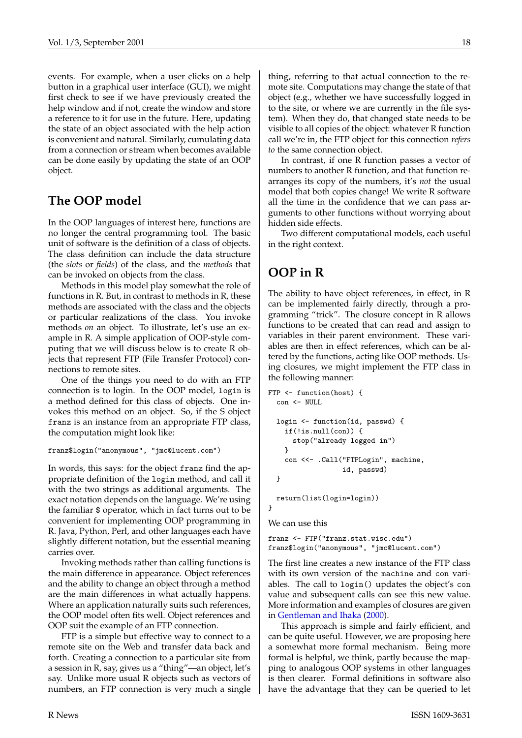<span id="page-17-0"></span>events. For example, when a user clicks on a help button in a graphical user interface (GUI), we might first check to see if we have previously created the help window and if not, create the window and store a reference to it for use in the future. Here, updating the state of an object associated with the help action is convenient and natural. Similarly, cumulating data from a connection or stream when becomes available can be done easily by updating the state of an OOP object.

### **The OOP model**

In the OOP languages of interest here, functions are no longer the central programming tool. The basic unit of software is the definition of a class of objects. The class definition can include the data structure (the *slots* or *fields*) of the class, and the *methods* that can be invoked on objects from the class.

Methods in this model play somewhat the role of functions in R. But, in contrast to methods in R, these methods are associated with the class and the objects or particular realizations of the class. You invoke methods *on* an object. To illustrate, let's use an example in R. A simple application of OOP-style computing that we will discuss below is to create R objects that represent FTP (File Transfer Protocol) connections to remote sites.

One of the things you need to do with an FTP connection is to login. In the OOP model, login is a method defined for this class of objects. One invokes this method on an object. So, if the S object franz is an instance from an appropriate FTP class, the computation might look like:

```
franz$login("anonymous", "jmc@lucent.com")
```
In words, this says: for the object franz find the appropriate definition of the login method, and call it with the two strings as additional arguments. The exact notation depends on the language. We're using the familiar \$ operator, which in fact turns out to be convenient for implementing OOP programming in R. Java, Python, Perl, and other languages each have slightly different notation, but the essential meaning carries over.

Invoking methods rather than calling functions is the main difference in appearance. Object references and the ability to change an object through a method are the main differences in what actually happens. Where an application naturally suits such references, the OOP model often fits well. Object references and OOP suit the example of an FTP connection.

FTP is a simple but effective way to connect to a remote site on the Web and transfer data back and forth. Creating a connection to a particular site from a session in R, say, gives us a "thing"—an object, let's say. Unlike more usual R objects such as vectors of numbers, an FTP connection is very much a single thing, referring to that actual connection to the remote site. Computations may change the state of that object (e.g., whether we have successfully logged in to the site, or where we are currently in the file system). When they do, that changed state needs to be visible to all copies of the object: whatever R function call we're in, the FTP object for this connection *refers to* the same connection object.

In contrast, if one R function passes a vector of numbers to another R function, and that function rearranges its copy of the numbers, it's *not* the usual model that both copies change! We write R software all the time in the confidence that we can pass arguments to other functions without worrying about hidden side effects.

Two different computational models, each useful in the right context.

# **OOP in R**

The ability to have object references, in effect, in R can be implemented fairly directly, through a programming "trick". The closure concept in R allows functions to be created that can read and assign to variables in their parent environment. These variables are then in effect references, which can be altered by the functions, acting like OOP methods. Using closures, we might implement the FTP class in the following manner:

```
FTP <- function(host) {
  con <- NULL
  login <- function(id, passwd) {
    if(!is.null(con)) {
     stop("already logged in")
    }
    con <<- .Call("FTPLogin", machine,
                  id, passwd)
  }
 return(list(login=login))
}
```
We can use this

franz <- FTP("franz.stat.wisc.edu") franz\$login("anonymous", "jmc@lucent.com")

The first line creates a new instance of the FTP class with its own version of the machine and con variables. The call to login() updates the object's con value and subsequent calls can see this new value. More information and examples of closures are given in [Gentleman and Ihaka](#page-18-0) [\(2000\)](#page-18-0).

This approach is simple and fairly efficient, and can be quite useful. However, we are proposing here a somewhat more formal mechanism. Being more formal is helpful, we think, partly because the mapping to analogous OOP systems in other languages is then clearer. Formal definitions in software also have the advantage that they can be queried to let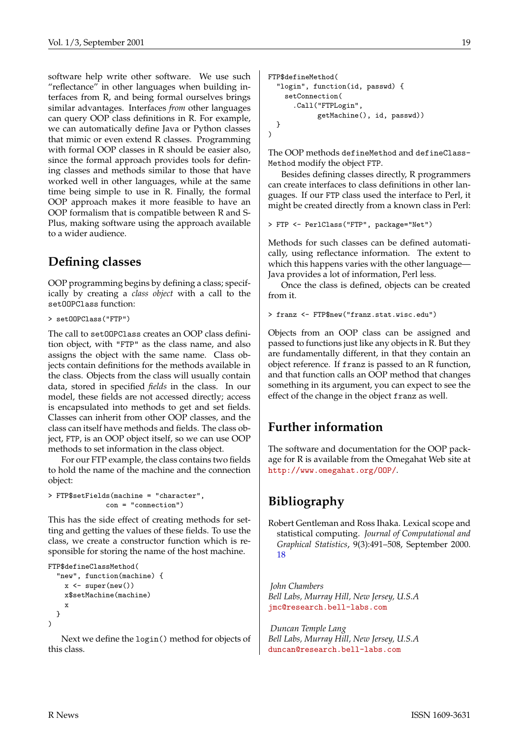software help write other software. We use such "reflectance" in other languages when building interfaces from R, and being formal ourselves brings similar advantages. Interfaces *from* other languages can query OOP class definitions in R. For example, we can automatically define Java or Python classes that mimic or even extend R classes. Programming with formal OOP classes in R should be easier also, since the formal approach provides tools for defining classes and methods similar to those that have worked well in other languages, while at the same time being simple to use in R. Finally, the formal OOP approach makes it more feasible to have an OOP formalism that is compatible between R and S-Plus, making software using the approach available to a wider audience.

### **Defining classes**

OOP programming begins by defining a class; specifically by creating a *class object* with a call to the setOOPClass function:

> setOOPClass("FTP")

The call to setOOPClass creates an OOP class definition object, with "FTP" as the class name, and also assigns the object with the same name. Class objects contain definitions for the methods available in the class. Objects from the class will usually contain data, stored in specified *fields* in the class. In our model, these fields are not accessed directly; access is encapsulated into methods to get and set fields. Classes can inherit from other OOP classes, and the class can itself have methods and fields. The class object, FTP, is an OOP object itself, so we can use OOP methods to set information in the class object.

For our FTP example, the class contains two fields to hold the name of the machine and the connection object:

```
> FTP$setFields(machine = "character",
              con = "connection")
```
This has the side effect of creating methods for setting and getting the values of these fields. To use the class, we create a constructor function which is responsible for storing the name of the host machine.

```
FTP$defineClassMethod(
  "new", function(machine) {
    x \leftarrow super(new())x$setMachine(machine)
    x
  }
\lambda
```
Next we define the login() method for objects of this class.

```
FTP$defineMethod(
  "login", function(id, passwd) {
    setConnection(
      .Call("FTPLogin",
             getMachine(), id, passwd))
  }
\lambda
```
The OOP methods defineMethod and defineClass-Method modify the object FTP.

Besides defining classes directly, R programmers can create interfaces to class definitions in other languages. If our FTP class used the interface to Perl, it might be created directly from a known class in Perl:

> FTP <- PerlClass("FTP", package="Net")

Methods for such classes can be defined automatically, using reflectance information. The extent to which this happens varies with the other language-Java provides a lot of information, Perl less.

Once the class is defined, objects can be created from it.

```
> franz <- FTP$new("franz.stat.wisc.edu")
```
Objects from an OOP class can be assigned and passed to functions just like any objects in R. But they are fundamentally different, in that they contain an object reference. If franz is passed to an R function, and that function calls an OOP method that changes something in its argument, you can expect to see the effect of the change in the object franz as well.

# **Further information**

The software and documentation for the OOP package for R is available from the Omegahat Web site at <http://www.omegahat.org/OOP/>.

# **Bibliography**

<span id="page-18-0"></span>Robert Gentleman and Ross Ihaka. Lexical scope and statistical computing. *Journal of Computational and Graphical Statistics*, 9(3):491–508, September 2000. [18](#page-17-0)

*John Chambers Bell Labs, Murray Hill, New Jersey, U.S.A* [jmc@research.bell-labs.com](mailto:jmc@research.bell-labs.com)

*Duncan Temple Lang Bell Labs, Murray Hill, New Jersey, U.S.A* [duncan@research.bell-labs.com](mailto:duncan@research.bell-labs.com)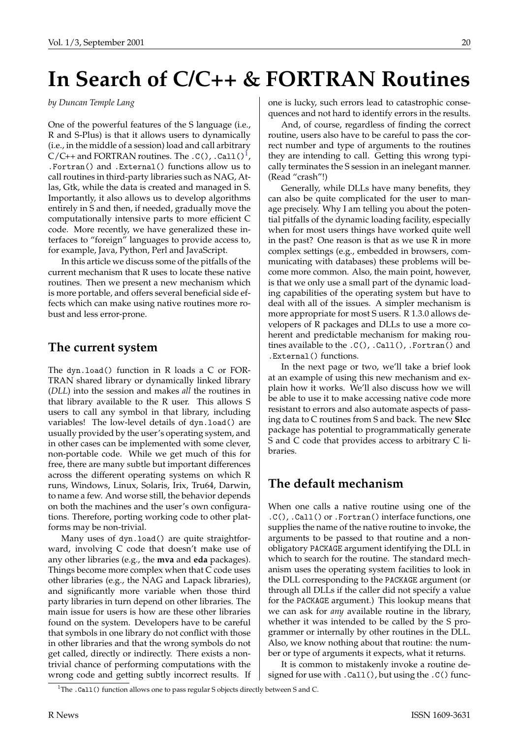# **In Search of C/C++ & FORTRAN Routines**

<span id="page-19-0"></span>*by Duncan Temple Lang*

One of the powerful features of the S language (i.e., R and S-Plus) is that it allows users to dynamically (i.e., in the middle of a session) load and call arbitrary  $C/C++$  and FORTRAN routines. The  $.C()$ ,  $.Call()$ <sup>[1](#page-19-1)</sup> , .Fortran() and .External() functions allow us to call routines in third-party libraries such as NAG, Atlas, Gtk, while the data is created and managed in S. Importantly, it also allows us to develop algorithms entirely in S and then, if needed, gradually move the computationally intensive parts to more efficient C code. More recently, we have generalized these interfaces to "foreign" languages to provide access to, for example, Java, Python, Perl and JavaScript.

In this article we discuss some of the pitfalls of the current mechanism that R uses to locate these native routines. Then we present a new mechanism which is more portable, and offers several beneficial side effects which can make using native routines more robust and less error-prone.

#### **The current system**

The dyn.load() function in R loads a C or FOR-TRAN shared library or dynamically linked library (*DLL*) into the session and makes *all* the routines in that library available to the R user. This allows S users to call any symbol in that library, including variables! The low-level details of dyn.load() are usually provided by the user's operating system, and in other cases can be implemented with some clever, non-portable code. While we get much of this for free, there are many subtle but important differences across the different operating systems on which R runs, Windows, Linux, Solaris, Irix, Tru64, Darwin, to name a few. And worse still, the behavior depends on both the machines and the user's own configurations. Therefore, porting working code to other platforms may be non-trivial.

Many uses of dyn.load() are quite straightforward, involving C code that doesn't make use of any other libraries (e.g., the **mva** and **eda** packages). Things become more complex when that C code uses other libraries (e.g., the NAG and Lapack libraries), and significantly more variable when those third party libraries in turn depend on other libraries. The main issue for users is how are these other libraries found on the system. Developers have to be careful that symbols in one library do not conflict with those in other libraries and that the wrong symbols do not get called, directly or indirectly. There exists a nontrivial chance of performing computations with the wrong code and getting subtly incorrect results. If one is lucky, such errors lead to catastrophic consequences and not hard to identify errors in the results.

And, of course, regardless of finding the correct routine, users also have to be careful to pass the correct number and type of arguments to the routines they are intending to call. Getting this wrong typically terminates the S session in an inelegant manner. (Read "crash"!)

Generally, while DLLs have many benefits, they can also be quite complicated for the user to manage precisely. Why I am telling you about the potential pitfalls of the dynamic loading facility, especially when for most users things have worked quite well in the past? One reason is that as we use R in more complex settings (e.g., embedded in browsers, communicating with databases) these problems will become more common. Also, the main point, however, is that we only use a small part of the dynamic loading capabilities of the operating system but have to deal with all of the issues. A simpler mechanism is more appropriate for most S users. R 1.3.0 allows developers of R packages and DLLs to use a more coherent and predictable mechanism for making routines available to the .C(), .Call(), .Fortran() and .External() functions.

In the next page or two, we'll take a brief look at an example of using this new mechanism and explain how it works. We'll also discuss how we will be able to use it to make accessing native code more resistant to errors and also automate aspects of passing data to C routines from S and back. The new **Slcc** package has potential to programmatically generate S and C code that provides access to arbitrary C libraries.

# **The default mechanism**

When one calls a native routine using one of the .C(), .Call() or .Fortran() interface functions, one supplies the name of the native routine to invoke, the arguments to be passed to that routine and a nonobligatory PACKAGE argument identifying the DLL in which to search for the routine. The standard mechanism uses the operating system facilities to look in the DLL corresponding to the PACKAGE argument (or through all DLLs if the caller did not specify a value for the PACKAGE argument.) This lookup means that we can ask for *any* available routine in the library, whether it was intended to be called by the S programmer or internally by other routines in the DLL. Also, we know nothing about that routine: the number or type of arguments it expects, what it returns.

It is common to mistakenly invoke a routine designed for use with .Call(), but using the .C() func-

<span id="page-19-1"></span><sup>&</sup>lt;sup>1</sup>The .Ca11() function allows one to pass regular S objects directly between S and C.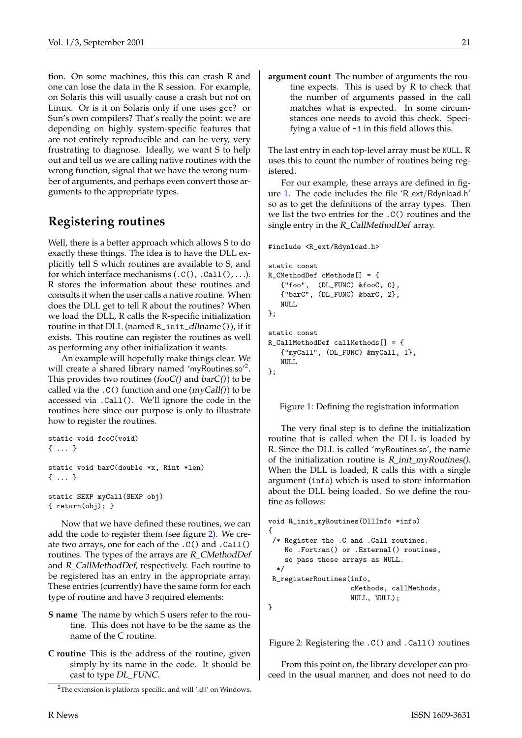tion. On some machines, this this can crash R and one can lose the data in the R session. For example, on Solaris this will usually cause a crash but not on Linux. Or is it on Solaris only if one uses gcc? or Sun's own compilers? That's really the point: we are depending on highly system-specific features that are not entirely reproducible and can be very, very frustrating to diagnose. Ideally, we want S to help out and tell us we are calling native routines with the wrong function, signal that we have the wrong number of arguments, and perhaps even convert those arguments to the appropriate types.

#### **Registering routines**

Well, there is a better approach which allows S to do exactly these things. The idea is to have the DLL explicitly tell S which routines are available to S, and for which interface mechanisms  $(.C(), .Call(), ...)$ . R stores the information about these routines and consults it when the user calls a native routine. When does the DLL get to tell R about the routines? When we load the DLL, R calls the R-specific initialization routine in that DLL (named R\_init\_dllname()), if it exists. This routine can register the routines as well as performing any other initialization it wants.

An example will hopefully make things clear. We will create a shared library named 'myRoutines.so'<sup>[2](#page-20-0)</sup>. This provides two routines (fooC() and  $barC()$ ) to be called via the  $.C()$  function and one  $(myCall())$  to be accessed via .Call(). We'll ignore the code in the routines here since our purpose is only to illustrate how to register the routines.

```
static void fooC(void)
\left\{ \begin{array}{ccc} & & \rightarrow \end{array} \right.static void barC(double *x, Rint *len)
{ ... }
```

```
static SEXP myCall(SEXP obj)
{ return(obj); }
```
Now that we have defined these routines, we can add the code to register them (see figure [2\)](#page-20-1). We create two arrays, one for each of the .C() and .Call() routines. The types of the arrays are R\_CMethodDef and R\_CallMethodDef, respectively. Each routine to be registered has an entry in the appropriate array. These entries (currently) have the same form for each type of routine and have 3 required elements:

- **S name** The name by which S users refer to the routine. This does not have to be the same as the name of the C routine.
- **C routine** This is the address of the routine, given simply by its name in the code. It should be cast to type DL\_FUNC.

**argument count** The number of arguments the routine expects. This is used by R to check that the number of arguments passed in the call matches what is expected. In some circumstances one needs to avoid this check. Specifying a value of -1 in this field allows this.

The last entry in each top-level array must be NULL. R uses this to count the number of routines being registered.

For our example, these arrays are defined in figure [1.](#page-20-2) The code includes the file 'R ext/Rdynload.h' so as to get the definitions of the array types. Then we list the two entries for the .C() routines and the single entry in the R\_CallMethodDef array.

```
#include <R_ext/Rdynload.h>
```

```
static const
R_CMethodDef cMethods[] = {
   {"foo", (DL_FUNC) &fooC, 0},
   {"barC", (DL_FUNC) &barC, 2},
   NULL.
};
static const
R_CallMethodDef callMethods[] = {
   {"myCall", (DL_FUNC) &myCall, 1},
   NULL
};
```
<span id="page-20-2"></span>Figure 1: Defining the registration information

The very final step is to define the initialization routine that is called when the DLL is loaded by R. Since the DLL is called 'myRoutines.so', the name of the initialization routine is  $R$ \_init\_myRoutines(). When the DLL is loaded, R calls this with a single argument (info) which is used to store information about the DLL being loaded. So we define the routine as follows:

```
void R_init_myRoutines(DllInfo *info)
{
 /* Register the .C and .Call routines.
   No .Fortran() or .External() routines,
    so pass those arrays as NULL.
  */
R_registerRoutines(info,
                    cMethods, callMethods,
                    NULL, NULL);
}
```
<span id="page-20-1"></span>Figure 2: Registering the .C() and .Call() routines

From this point on, the library developer can proceed in the usual manner, and does not need to do

<span id="page-20-0"></span><sup>2</sup>The extension is platform-specific, and will '.dll' on Windows.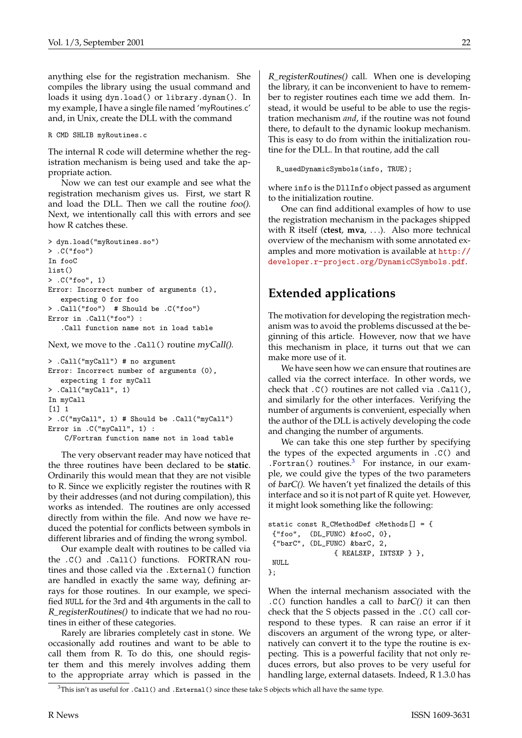anything else for the registration mechanism. She compiles the library using the usual command and loads it using dyn.load() or library.dynam(). In my example, I have a single file named 'myRoutines.c' and, in Unix, create the DLL with the command

#### R CMD SHLIB myRoutines.c

The internal R code will determine whether the registration mechanism is being used and take the appropriate action.

Now we can test our example and see what the registration mechanism gives us. First, we start R and load the DLL. Then we call the routine foo(). Next, we intentionally call this with errors and see how R catches these.

```
> dyn.load("myRoutines.so")
> .C("foo")
In fooC
list()
> .C("foo", 1)
Error: Incorrect number of arguments (1),
   expecting 0 for foo
> .Call("foo") # Should be .C("foo")
Error in .Call("foo") :
   .Call function name not in load table
```
Next, we move to the .Call() routine myCall().

```
> .Call("myCall") # no argument
Error: Incorrect number of arguments (0),
   expecting 1 for myCall
> .Call("myCall", 1)
In myCall
\lceil 1 \rceil 1
> .C("myCall", 1) # Should be .Call("myCall")
Error in .C("myCall", 1) :
    C/Fortran function name not in load table
```
The very observant reader may have noticed that the three routines have been declared to be **static**. Ordinarily this would mean that they are not visible to R. Since we explicitly register the routines with R by their addresses (and not during compilation), this works as intended. The routines are only accessed directly from within the file. And now we have reduced the potential for conflicts between symbols in different libraries and of finding the wrong symbol.

Our example dealt with routines to be called via the .C() and .Call() functions. FORTRAN routines and those called via the .External() function are handled in exactly the same way, defining arrays for those routines. In our example, we specified NULL for the 3rd and 4th arguments in the call to R\_registerRoutines() to indicate that we had no routines in either of these categories.

Rarely are libraries completely cast in stone. We occasionally add routines and want to be able to call them from R. To do this, one should register them and this merely involves adding them to the appropriate array which is passed in the

R\_registerRoutines() call. When one is developing the library, it can be inconvenient to have to remember to register routines each time we add them. Instead, it would be useful to be able to use the registration mechanism *and*, if the routine was not found there, to default to the dynamic lookup mechanism. This is easy to do from within the initialization routine for the DLL. In that routine, add the call

R\_usedDynamicSymbols(info, TRUE);

where info is the DllInfo object passed as argument to the initialization routine.

One can find additional examples of how to use the registration mechanism in the packages shipped with R itself (**ctest**, **mva**, . . .). Also more technical overview of the mechanism with some annotated examples and more motivation is available at [http://](http://developer.r-project.org/DynamicCSymbols.pdf) [developer.r-project.org/DynamicCSymbols.pdf](http://developer.r-project.org/DynamicCSymbols.pdf).

# **Extended applications**

The motivation for developing the registration mechanism was to avoid the problems discussed at the beginning of this article. However, now that we have this mechanism in place, it turns out that we can make more use of it.

We have seen how we can ensure that routines are called via the correct interface. In other words, we check that .C() routines are not called via .Call(), and similarly for the other interfaces. Verifying the number of arguments is convenient, especially when the author of the DLL is actively developing the code and changing the number of arguments.

We can take this one step further by specifying the types of the expected arguments in .C() and .Fortran() routines. $3$  For instance, in our example, we could give the types of the two parameters of barC(). We haven't yet finalized the details of this interface and so it is not part of R quite yet. However, it might look something like the following:

```
static const R_CMethodDef cMethods[] = {
{"foo", (DL_FUNC) &fooC, 0},
{"barC", (DL_FUNC) &barC, 2,
                { REALSXP, INTSXP } },
NULL
};
```
When the internal mechanism associated with the  $C()$  function handles a call to  $barC()$  it can then check that the S objects passed in the .C() call correspond to these types. R can raise an error if it discovers an argument of the wrong type, or alternatively can convert it to the type the routine is expecting. This is a powerful facility that not only reduces errors, but also proves to be very useful for handling large, external datasets. Indeed, R 1.3.0 has

<span id="page-21-0"></span> $3$ This isn't as useful for  $\cdot$  Call() and  $\cdot$  External() since these take S objects which all have the same type.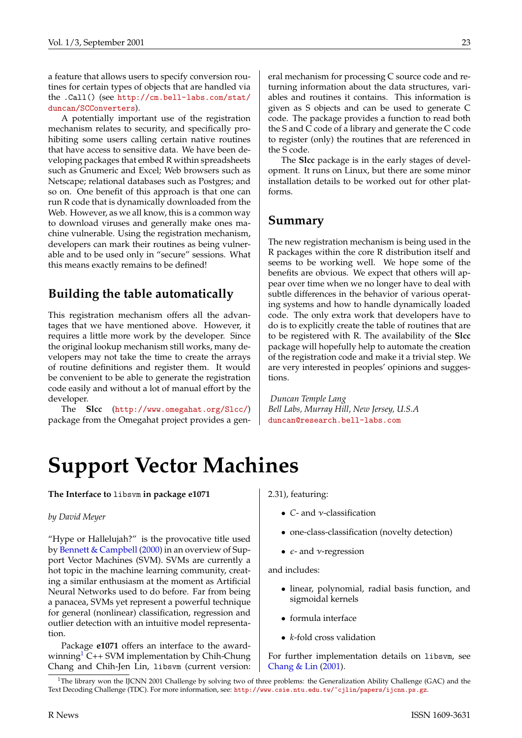<span id="page-22-2"></span>a feature that allows users to specify conversion routines for certain types of objects that are handled via the .Call() (see [http://cm.bell-labs.com/stat/](http://cm.bell-labs.com/stat/duncan/SCConverters) [duncan/SCConverters](http://cm.bell-labs.com/stat/duncan/SCConverters)).

A potentially important use of the registration mechanism relates to security, and specifically prohibiting some users calling certain native routines that have access to sensitive data. We have been developing packages that embed R within spreadsheets such as Gnumeric and Excel; Web browsers such as Netscape; relational databases such as Postgres; and so on. One benefit of this approach is that one can run R code that is dynamically downloaded from the Web. However, as we all know, this is a common way to download viruses and generally make ones machine vulnerable. Using the registration mechanism, developers can mark their routines as being vulnerable and to be used only in "secure" sessions. What this means exactly remains to be defined!

#### **Building the table automatically**

This registration mechanism offers all the advantages that we have mentioned above. However, it requires a little more work by the developer. Since the original lookup mechanism still works, many developers may not take the time to create the arrays of routine definitions and register them. It would be convenient to be able to generate the registration code easily and without a lot of manual effort by the developer.

The **Slcc** (<http://www.omegahat.org/Slcc/>) package from the Omegahat project provides a general mechanism for processing C source code and returning information about the data structures, variables and routines it contains. This information is given as S objects and can be used to generate C code. The package provides a function to read both the S and C code of a library and generate the C code to register (only) the routines that are referenced in the S code.

The **Slcc** package is in the early stages of development. It runs on Linux, but there are some minor installation details to be worked out for other platforms.

#### **Summary**

The new registration mechanism is being used in the R packages within the core R distribution itself and seems to be working well. We hope some of the benefits are obvious. We expect that others will appear over time when we no longer have to deal with subtle differences in the behavior of various operating systems and how to handle dynamically loaded code. The only extra work that developers have to do is to explicitly create the table of routines that are to be registered with R. The availability of the **Slcc** package will hopefully help to automate the creation of the registration code and make it a trivial step. We are very interested in peoples' opinions and suggestions.

*Duncan Temple Lang Bell Labs, Murray Hill, New Jersey, U.S.A* [duncan@research.bell-labs.com](mailto:duncan@research.bell-labs.com)

# **Support Vector Machines**

<span id="page-22-0"></span>**The Interface to** libsvm **in package e1071**

#### *by David Meyer*

"Hype or Hallelujah?" is the provocative title used by [Bennett & Campbell](#page-25-0) [\(2000](#page-25-0)) in an overview of Support Vector Machines (SVM). SVMs are currently a hot topic in the machine learning community, creating a similar enthusiasm at the moment as Artificial Neural Networks used to do before. Far from being a panacea, SVMs yet represent a powerful technique for general (nonlinear) classification, regression and outlier detection with an intuitive model representation.

Package **e1071** offers an interface to the award-winning<sup>[1](#page-22-1)</sup> C++ SVM implementation by Chih-Chung Chang and Chih-Jen Lin, libsvm (current version: 2.31), featuring:

- *C* and ν-classification
- one-class-classification (novelty detection)
- $\epsilon$  and *v*-regression

and includes:

- linear, polynomial, radial basis function, and sigmoidal kernels
- formula interface
- *k*-fold cross validation

For further implementation details on libsvm, see [Chang & Lin](#page-25-1) [\(2001](#page-25-1)).

<span id="page-22-1"></span><sup>&</sup>lt;sup>1</sup>The library won the IJCNN 2001 Challenge by solving two of three problems: the Generalization Ability Challenge (GAC) and the Text Decoding Challenge (TDC). For more information, see: <http://www.csie.ntu.edu.tw/~cjlin/papers/ijcnn.ps.gz>.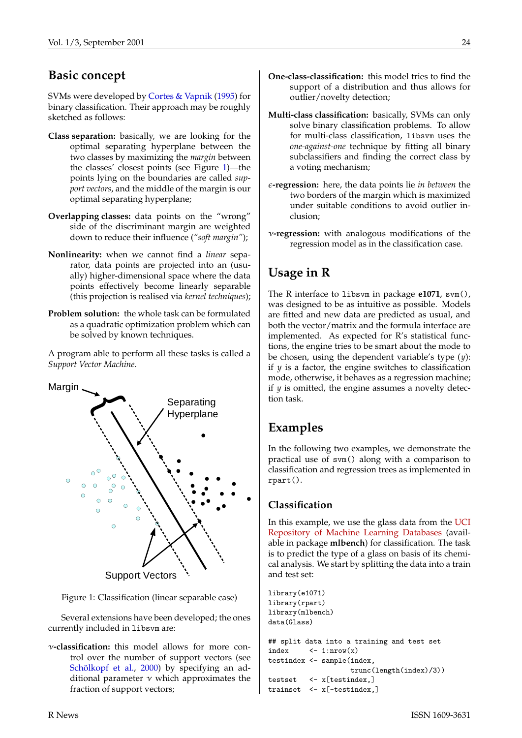### <span id="page-23-1"></span>**Basic concept**

SVMs were developed by [Cortes & Vapnik](#page-25-2) ([1995\)](#page-25-2) for binary classification. Their approach may be roughly sketched as follows:

- **Class separation:** basically, we are looking for the optimal separating hyperplane between the two classes by maximizing the *margin* between the classes' closest points (see Figure [1\)](#page-23-0)—the points lying on the boundaries are called *support vectors*, and the middle of the margin is our optimal separating hyperplane;
- **Overlapping classes:** data points on the "wrong" side of the discriminant margin are weighted down to reduce their influence (*"soft margin"*);
- **Nonlinearity:** when we cannot find a *linear* separator, data points are projected into an (usually) higher-dimensional space where the data points effectively become linearly separable (this projection is realised via *kernel techniques*);
- **Problem solution:** the whole task can be formulated as a quadratic optimization problem which can be solved by known techniques.

A program able to perform all these tasks is called a *Support Vector Machine*.



<span id="page-23-0"></span>Figure 1: Classification (linear separable case)

Several extensions have been developed; the ones currently included in libsvm are:

ν**-classification:** this model allows for more control over the number of support vectors (see [Schölkopf et al.,](#page-25-3) [2000](#page-25-3)) by specifying an additional parameter  $\nu$  which approximates the fraction of support vectors;

- **One-class-classification:** this model tries to find the support of a distribution and thus allows for outlier/novelty detection;
- **Multi-class classification:** basically, SVMs can only solve binary classification problems. To allow for multi-class classification, libsvm uses the *one-against-one* technique by fitting all binary subclassifiers and finding the correct class by a voting mechanism;
- **-regression:** here, the data points lie *in between* the two borders of the margin which is maximized under suitable conditions to avoid outlier inclusion;
- ν**-regression:** with analogous modifications of the regression model as in the classification case.

# **Usage in R**

The R interface to libsvm in package **e1071**, svm(), was designed to be as intuitive as possible. Models are fitted and new data are predicted as usual, and both the vector/matrix and the formula interface are implemented. As expected for R's statistical functions, the engine tries to be smart about the mode to be chosen, using the dependent variable's type (*y*): if *y* is a factor, the engine switches to classification mode, otherwise, it behaves as a regression machine; if *y* is omitted, the engine assumes a novelty detection task.

#### **Examples**

In the following two examples, we demonstrate the practical use of svm() along with a comparison to classification and regression trees as implemented in rpart().

#### **Classification**

In this example, we use the glass data from the [UCI](http://www.ics.uci.edu/mlearn/MLRepository.html) [Repository of Machine Learning Databases](http://www.ics.uci.edu/mlearn/MLRepository.html) (available in package **mlbench**) for classification. The task is to predict the type of a glass on basis of its chemical analysis. We start by splitting the data into a train and test set:

```
library(e1071)
library(rpart)
library(mlbench)
data(Glass)
## split data into a training and test set
index \leftarrow 1:nrow(x)testindex <- sample(index,
                    trunc(length(index)/3))
testset <- x[testindex,]
trainset <- x[-testindex,]
```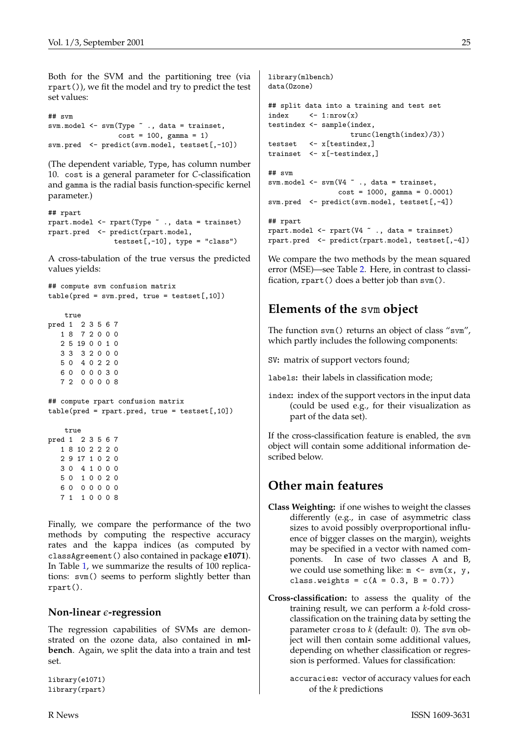Both for the SVM and the partitioning tree (via rpart()), we fit the model and try to predict the test set values:

```
## svm
svm.model <- svm(Type \tilde{ } ., data = trainset,
                 cost = 100, gamma = 1)
svm.pred <- predict(svm.model, testset[,-10])
```
(The dependent variable, Type, has column number 10. cost is a general parameter for *C*-classification and gamma is the radial basis function-specific kernel parameter.)

```
## rpart
rpart.model <- rpart(Type ~ ., data = trainset)
rpart.pred <- predict(rpart.model,
               test[,-10], type = "class")
```
A cross-tabulation of the true versus the predicted values yields:

```
## compute svm confusion matrix
table(pred = sym.pred, true = testset[, 10])
```

```
true
pred 1 2 3 5 6 7
  1 8 7 2 0 0 0
  2 5 19 0 0 1 0
  3 3 3 2 0 0 0
  5 0 4 0 2 2 0
  6 0 0 0 0 3 0
  7 2 0 0 0 0 8
```

```
## compute rpart confusion matrix
table(pred = rpart.pred, true = testset[, 10])
```

```
true
pred 1 2 3 5 6 7
  1 8 10 2 2 2 0
  2 9 17 1 0 2 0
  3 0 4 1 0 0 0
  5 0 1 0 0 2 0
  6 0 0 0 0 0 0
  7 1 1 0 0 0 8
```
Finally, we compare the performance of the two methods by computing the respective accuracy rates and the kappa indices (as computed by classAgreement() also contained in package **e1071**). In Table [1,](#page-25-4) we summarize the results of 100 replications: svm() seems to perform slightly better than rpart().

#### **Non-linear -regression**

The regression capabilities of SVMs are demonstrated on the ozone data, also contained in **mlbench**. Again, we split the data into a train and test set.

```
library(e1071)
library(rpart)
```

```
library(mlbench)
data(Ozone)
## split data into a training and test set
index \leftarrow 1:nrow(x)testindex <- sample(index,
                    trunc(length(index)/3))
testset <- x[testindex,]
trainset <- x[-testindex,]
## svm
svm.model <- svm(V4 ~ ., data = trainset,
                 cost = 1000, gamma = 0.0001)
svm.pred <- predict(svm.model, testset[,-4])
## rpart
rpart.model <- rpart(V4 ~ ., data = trainset)
rpart.pred <- predict(rpart.model, testset[,-4])
```
We compare the two methods by the mean squared error (MSE)—see Table [2.](#page-25-5) Here, in contrast to classification, rpart() does a better job than svm().

# **Elements of the** svm **object**

The function svm() returns an object of class "svm", which partly includes the following components:

SV**:** matrix of support vectors found;

labels**:** their labels in classification mode;

index**:** index of the support vectors in the input data (could be used e.g., for their visualization as part of the data set).

If the cross-classification feature is enabled, the svm object will contain some additional information described below.

# **Other main features**

- **Class Weighting:** if one wishes to weight the classes differently (e.g., in case of asymmetric class sizes to avoid possibly overproportional influence of bigger classes on the margin), weights may be specified in a vector with named components. In case of two classes A and B, we could use something like:  $m \leq -sym(x, y,$ class.weights =  $c(A = 0.3, B = 0.7)$ )
- **Cross-classification:** to assess the quality of the training result, we can perform a *k*-fold crossclassification on the training data by setting the parameter cross to *k* (default: 0). The svm object will then contain some additional values, depending on whether classification or regression is performed. Values for classification:
	- accuracies**:** vector of accuracy values for each of the *k* predictions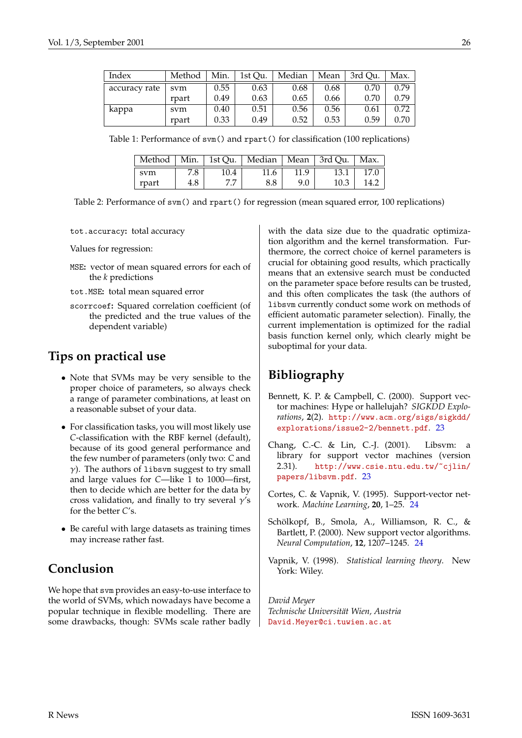| Index         | Method | Min. | 1st Qu. | Median | Mean | 3rd Ou. | Max. |
|---------------|--------|------|---------|--------|------|---------|------|
| accuracy rate | svm    | 0.55 | 0.63    | 0.68   | 0.68 | 0.70    | 0.79 |
|               | rpart  | 0.49 | 0.63    | 0.65   | 0.66 | 0.70    | 0.79 |
| kappa         | svm    | 0.40 | 0.51    | 0.56   | 0.56 | 0.61    | 0.72 |
|               | rpart  | 0.33 | 0.49    | 0.52   | 0.53 | 0.59    | 0.70 |

Table 1: Performance of svm() and rpart() for classification (100 replications)

<span id="page-25-4"></span>

| Method   Min.   1st Qu.   Median   Mean   3rd Qu.   Max. |     |      |      |      |      |      |
|----------------------------------------------------------|-----|------|------|------|------|------|
| svm                                                      | 7.8 | 10.4 | 11.6 | 11.9 | 13.1 | 17.0 |
| rpart                                                    | 4.8 |      | 8.8  | 9.0  | 10.3 | 14.2 |

<span id="page-25-5"></span>Table 2: Performance of svm() and rpart() for regression (mean squared error, 100 replications)

tot.accuracy**:** total accuracy

Values for regression:

- MSE**:** vector of mean squared errors for each of the *k* predictions
- tot.MSE**:** total mean squared error
- scorrcoef**:** Squared correlation coefficient (of the predicted and the true values of the dependent variable)

#### **Tips on practical use**

- Note that SVMs may be very sensible to the proper choice of parameters, so always check a range of parameter combinations, at least on a reasonable subset of your data.
- For classification tasks, you will most likely use *C*-classification with the RBF kernel (default), because of its good general performance and the few number of parameters (only two: *C* and  $\gamma$ ). The authors of libsvm suggest to try small and large values for *C*—like 1 to 1000—first, then to decide which are better for the data by cross validation, and finally to try several  $\gamma$ 's for the better *C*'s.
- Be careful with large datasets as training times may increase rather fast.

# **Conclusion**

We hope that svm provides an easy-to-use interface to the world of SVMs, which nowadays have become a popular technique in flexible modelling. There are some drawbacks, though: SVMs scale rather badly with the data size due to the quadratic optimization algorithm and the kernel transformation. Furthermore, the correct choice of kernel parameters is crucial for obtaining good results, which practically means that an extensive search must be conducted on the parameter space before results can be trusted, and this often complicates the task (the authors of libsvm currently conduct some work on methods of efficient automatic parameter selection). Finally, the current implementation is optimized for the radial basis function kernel only, which clearly might be suboptimal for your data.

### **Bibliography**

- <span id="page-25-0"></span>Bennett, K. P. & Campbell, C. (2000). Support vector machines: Hype or hallelujah? *SIGKDD Explorations*, **2**(2). [http://www.acm.org/sigs/sigkdd/](http://www.acm.org/sigs/sigkdd/explorations/issue2-2/bennett.pdf) [explorations/issue2-2/bennett.pdf](http://www.acm.org/sigs/sigkdd/explorations/issue2-2/bennett.pdf). [23](#page-22-2)
- <span id="page-25-1"></span>Chang, C.-C. & Lin, C.-J. (2001). Libsvm: a library for support vector machines (version 2.31). [http://www.csie.ntu.edu.tw/~cjlin/](http://www.csie.ntu.edu.tw/~cjlin/papers/libsvm.pdf) [papers/libsvm.pdf](http://www.csie.ntu.edu.tw/~cjlin/papers/libsvm.pdf). [23](#page-22-2)
- <span id="page-25-2"></span>Cortes, C. & Vapnik, V. (1995). Support-vector network. *Machine Learning*, **20**, 1–25. [24](#page-23-1)
- <span id="page-25-3"></span>Schölkopf, B., Smola, A., Williamson, R. C., & Bartlett, P. (2000). New support vector algorithms. *Neural Computation*, **12**, 1207–1245. [24](#page-23-1)
- Vapnik, V. (1998). *Statistical learning theory*. New York: Wiley.

*David Meyer Technische Universität Wien, Austria* [David.Meyer@ci.tuwien.ac.at](mailto:David.Meyer@ci.tuwien.ac.at)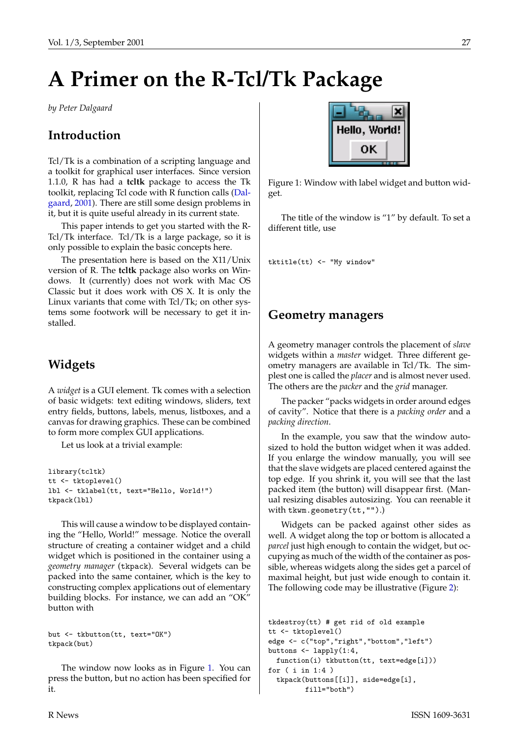# <span id="page-26-2"></span>**A Primer on the R-Tcl/Tk Package**

<span id="page-26-0"></span>*by Peter Dalgaard*

#### **Introduction**

Tcl/Tk is a combination of a scripting language and a toolkit for graphical user interfaces. Since version 1.1.0, R has had a **tcltk** package to access the Tk toolkit, replacing Tcl code with R function calls [\(Dal](#page-30-0)[gaard](#page-30-0), [2001](#page-30-0)). There are still some design problems in it, but it is quite useful already in its current state.

This paper intends to get you started with the R-Tcl/Tk interface. Tcl/Tk is a large package, so it is only possible to explain the basic concepts here.

The presentation here is based on the X11/Unix version of R. The **tcltk** package also works on Windows. It (currently) does not work with Mac OS Classic but it does work with OS X. It is only the Linux variants that come with Tcl/Tk; on other systems some footwork will be necessary to get it installed.

#### **Widgets**

A *widget* is a GUI element. Tk comes with a selection of basic widgets: text editing windows, sliders, text entry fields, buttons, labels, menus, listboxes, and a canvas for drawing graphics. These can be combined to form more complex GUI applications.

Let us look at a trivial example:

```
library(tcltk)
tt <- tktoplevel()
lbl <- tklabel(tt, text="Hello, World!")
tkpack(lbl)
```
This will cause a window to be displayed containing the "Hello, World!" message. Notice the overall structure of creating a container widget and a child widget which is positioned in the container using a *geometry manager* (tkpack). Several widgets can be packed into the same container, which is the key to constructing complex applications out of elementary building blocks. For instance, we can add an "OK" button with

but <- tkbutton(tt, text="OK") tkpack(but)

The window now looks as in Figure [1.](#page-26-1) You can press the button, but no action has been specified for it.



<span id="page-26-1"></span>Figure 1: Window with label widget and button widget.

The title of the window is "1" by default. To set a different title, use

tktitle(tt) <- "My window"

#### **Geometry managers**

A geometry manager controls the placement of *slave* widgets within a *master* widget. Three different geometry managers are available in Tcl/Tk. The simplest one is called the *placer* and is almost never used. The others are the *packer* and the *grid* manager.

The packer "packs widgets in order around edges of cavity". Notice that there is a *packing order* and a *packing direction*.

In the example, you saw that the window autosized to hold the button widget when it was added. If you enlarge the window manually, you will see that the slave widgets are placed centered against the top edge. If you shrink it, you will see that the last packed item (the button) will disappear first. (Manual resizing disables autosizing. You can reenable it with tkwm.geometry(tt,"").)

Widgets can be packed against other sides as well. A widget along the top or bottom is allocated a *parcel* just high enough to contain the widget, but occupying as much of the width of the container as possible, whereas widgets along the sides get a parcel of maximal height, but just wide enough to contain it. The following code may be illustrative (Figure [2](#page-27-0)):

```
tkdestroy(tt) # get rid of old example
tt <- tktoplevel()
edge <- c("top","right","bottom","left")
buttons <- lapply(1:4,
 function(i) tkbutton(tt, text=edge[i]))
for ( i in 1:4 )
  tkpack(buttons[[i]], side=edge[i],
         fill="both")
```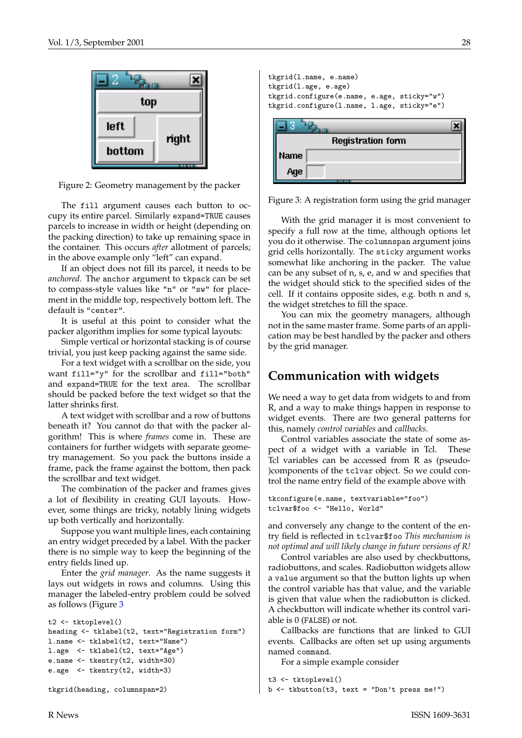

<span id="page-27-0"></span>Figure 2: Geometry management by the packer

The fill argument causes each button to occupy its entire parcel. Similarly expand=TRUE causes parcels to increase in width or height (depending on the packing direction) to take up remaining space in the container. This occurs *after* allotment of parcels; in the above example only "left" can expand.

If an object does not fill its parcel, it needs to be *anchored*. The anchor argument to tkpack can be set to compass-style values like "n" or "sw" for placement in the middle top, respectively bottom left. The default is "center".

It is useful at this point to consider what the packer algorithm implies for some typical layouts:

Simple vertical or horizontal stacking is of course trivial, you just keep packing against the same side.

For a text widget with a scrollbar on the side, you want fill="y" for the scrollbar and fill="both" and expand=TRUE for the text area. The scrollbar should be packed before the text widget so that the latter shrinks first.

A text widget with scrollbar and a row of buttons beneath it? You cannot do that with the packer algorithm! This is where *frames* come in. These are containers for further widgets with separate geometry management. So you pack the buttons inside a frame, pack the frame against the bottom, then pack the scrollbar and text widget.

The combination of the packer and frames gives a lot of flexibility in creating GUI layouts. However, some things are tricky, notably lining widgets up both vertically and horizontally.

Suppose you want multiple lines, each containing an entry widget preceded by a label. With the packer there is no simple way to keep the beginning of the entry fields lined up.

Enter the *grid manager*. As the name suggests it lays out widgets in rows and columns. Using this manager the labeled-entry problem could be solved as follows (Figure [3](#page-27-1)

```
t2 <- tktoplevel()
heading <- tklabel(t2, text="Registration form")
l.name <- tklabel(t2, text="Name")
l.age <- tklabel(t2, text="Age")
e.name <- tkentry(t2, width=30)
e.age <- tkentry(t2, width=3)
tkgrid(heading, columnspan=2)
```

| tkgrid(1.name, e.name)                      |  |
|---------------------------------------------|--|
| tkgrid(1.age, e.age)                        |  |
| tkgrid.configure(e.name, e.age, sticky="w") |  |
| tkgrid.configure(1.name, 1.age, sticky="e") |  |
| <b>Registration form</b>                    |  |
| Name                                        |  |
|                                             |  |

<span id="page-27-1"></span>Figure 3: A registration form using the grid manager

With the grid manager it is most convenient to specify a full row at the time, although options let you do it otherwise. The columnspan argument joins grid cells horizontally. The sticky argument works somewhat like anchoring in the packer. The value can be any subset of n, s, e, and w and specifies that the widget should stick to the specified sides of the cell. If it contains opposite sides, e.g. both n and s, the widget stretches to fill the space.

You can mix the geometry managers, although not in the same master frame. Some parts of an application may be best handled by the packer and others by the grid manager.

#### **Communication with widgets**

We need a way to get data from widgets to and from R, and a way to make things happen in response to widget events. There are two general patterns for this, namely *control variables* and *callbacks*.

Control variables associate the state of some aspect of a widget with a variable in Tcl. These Tcl variables can be accessed from R as (pseudo- )components of the tclvar object. So we could control the name entry field of the example above with

```
tkconfigure(e.name, textvariable="foo")
tclvar$foo <- "Hello, World"
```
and conversely any change to the content of the entry field is reflected in tclvar\$foo *This mechanism is not optimal and will likely change in future versions of R!*

Control variables are also used by checkbuttons, radiobuttons, and scales. Radiobutton widgets allow a value argument so that the button lights up when the control variable has that value, and the variable is given that value when the radiobutton is clicked. A checkbutton will indicate whether its control variable is 0 (FALSE) or not.

Callbacks are functions that are linked to GUI events. Callbacks are often set up using arguments named command.

For a simple example consider

t3 <- tktoplevel() b <- tkbutton(t3, text = "Don't press me!")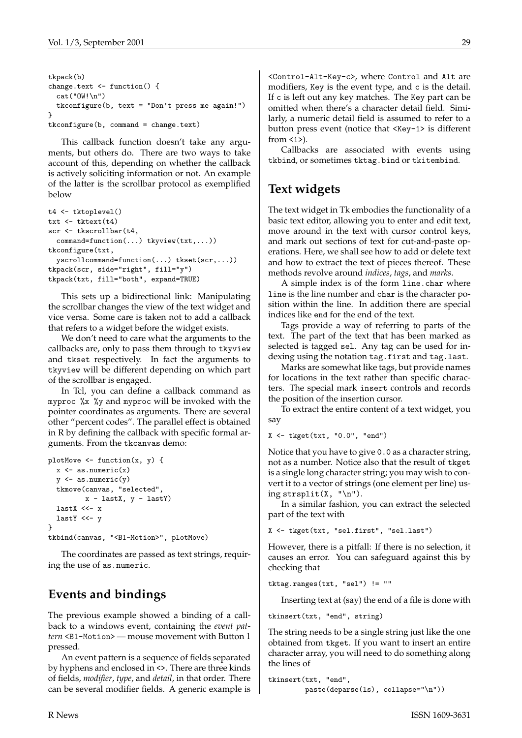```
tkpack(b)
change.text <- function() {
 cat("OW!\n")
 tkconfigure(b, text = "Don't press me again!")
}
tkconfigure(b, command = change.text)
```
This callback function doesn't take any arguments, but others do. There are two ways to take account of this, depending on whether the callback is actively soliciting information or not. An example of the latter is the scrollbar protocol as exemplified below

```
t4 <- tktoplevel()
txt <- tktext(t4)
scr <- tkscrollbar(t4,
 command=function(...) tkyview(txt,...))
tkconfigure(txt,
 yscrollcommand=function(...) tkset(scr,...))
tkpack(scr, side="right", fill="y")
tkpack(txt, fill="both", expand=TRUE)
```
This sets up a bidirectional link: Manipulating the scrollbar changes the view of the text widget and vice versa. Some care is taken not to add a callback that refers to a widget before the widget exists.

We don't need to care what the arguments to the callbacks are, only to pass them through to tkyview and tkset respectively. In fact the arguments to tkyview will be different depending on which part of the scrollbar is engaged.

In Tcl, you can define a callback command as myproc %x %y and myproc will be invoked with the pointer coordinates as arguments. There are several other "percent codes". The parallel effect is obtained in R by defining the callback with specific formal arguments. From the tkcanvas demo:

```
plotMove <- function(x, y) {
  x \leftarrow as.numeric(x)y \leftarrow as.numeric(y)
  tkmove(canvas, "selected",
          x - lastX, y - lastY)lastX <<- x
  lastY \leftarrow y}
tkbind(canvas, "<B1-Motion>", plotMove)
```
The coordinates are passed as text strings, requiring the use of as.numeric.

# **Events and bindings**

The previous example showed a binding of a callback to a windows event, containing the *event pattern* <B1-Motion> — mouse movement with Button 1 pressed.

An event pattern is a sequence of fields separated by hyphens and enclosed in <>. There are three kinds of fields, *modifier*, *type*, and *detail*, in that order. There can be several modifier fields. A generic example is

<Control-Alt-Key-c>, where Control and Alt are modifiers, Key is the event type, and c is the detail. If c is left out any key matches. The Key part can be omitted when there's a character detail field. Similarly, a numeric detail field is assumed to refer to a button press event (notice that <Key-1> is different from  $\langle 1 \rangle$ .

Callbacks are associated with events using tkbind, or sometimes tktag.bind or tkitembind.

# **Text widgets**

The text widget in Tk embodies the functionality of a basic text editor, allowing you to enter and edit text, move around in the text with cursor control keys, and mark out sections of text for cut-and-paste operations. Here, we shall see how to add or delete text and how to extract the text of pieces thereof. These methods revolve around *indices*, *tags*, and *marks*.

A simple index is of the form line.char where line is the line number and char is the character position within the line. In addition there are special indices like end for the end of the text.

Tags provide a way of referring to parts of the text. The part of the text that has been marked as selected is tagged sel. Any tag can be used for indexing using the notation tag.first and tag.last.

Marks are somewhat like tags, but provide names for locations in the text rather than specific characters. The special mark insert controls and records the position of the insertion cursor.

To extract the entire content of a text widget, you say

X <- tkget(txt, "0.0", "end")

Notice that you have to give 0.0 as a character string, not as a number. Notice also that the result of tkget is a single long character string; you may wish to convert it to a vector of strings (one element per line) using strsplit(X,  $"\n\n'\n$ .

In a similar fashion, you can extract the selected part of the text with

X <- tkget(txt, "sel.first", "sel.last")

However, there is a pitfall: If there is no selection, it causes an error. You can safeguard against this by checking that

tktag.ranges(txt, "sel") != ""

Inserting text at (say) the end of a file is done with

tkinsert(txt, "end", string)

The string needs to be a single string just like the one obtained from tkget. If you want to insert an entire character array, you will need to do something along the lines of

```
tkinsert(txt, "end",
         paste(deparse(ls), collapse="\n"))
```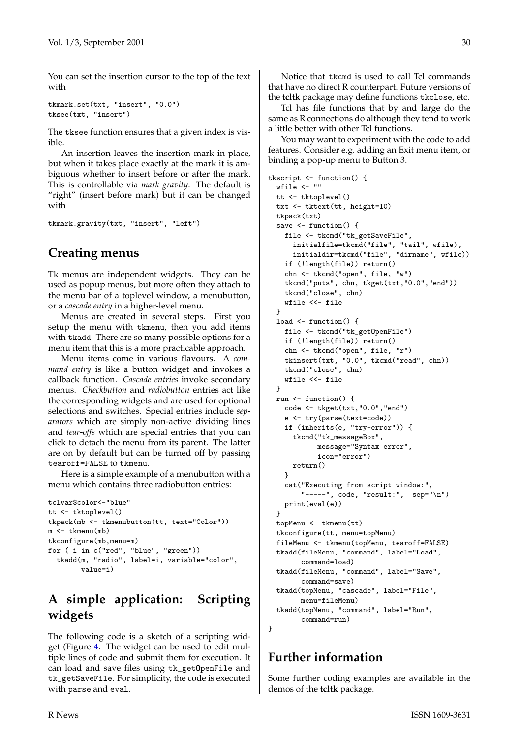You can set the insertion cursor to the top of the text with

```
tkmark.set(txt, "insert", "0.0")
tksee(txt, "insert")
```
The tksee function ensures that a given index is visible.

An insertion leaves the insertion mark in place, but when it takes place exactly at the mark it is ambiguous whether to insert before or after the mark. This is controllable via *mark gravity*. The default is "right" (insert before mark) but it can be changed with

```
tkmark.gravity(txt, "insert", "left")
```
# **Creating menus**

Tk menus are independent widgets. They can be used as popup menus, but more often they attach to the menu bar of a toplevel window, a menubutton, or a *cascade entry* in a higher-level menu.

Menus are created in several steps. First you setup the menu with tkmenu, then you add items with tkadd. There are so many possible options for a menu item that this is a more practicable approach.

Menu items come in various flavours. A *command entry* is like a button widget and invokes a callback function. *Cascade entries* invoke secondary menus. *Checkbutton* and *radiobutton* entries act like the corresponding widgets and are used for optional selections and switches. Special entries include *separators* which are simply non-active dividing lines and *tear-offs* which are special entries that you can click to detach the menu from its parent. The latter are on by default but can be turned off by passing tearoff=FALSE to tkmenu.

Here is a simple example of a menubutton with a menu which contains three radiobutton entries:

```
tclvar$color<-"blue"
tt <- tktoplevel()
tkpack(mb <- tkmenubutton(tt, text="Color"))
m <- tkmenu(mb)
tkconfigure(mb,menu=m)
for ( i in c("red", "blue", "green"))
  tkadd(m, "radio", label=i, variable="color",
        value=i)
```
# **A simple application: Scripting widgets**

The following code is a sketch of a scripting widget (Figure [4](#page-30-1). The widget can be used to edit multiple lines of code and submit them for execution. It can load and save files using tk\_getOpenFile and tk\_getSaveFile. For simplicity, the code is executed with parse and eval.

Notice that tkcmd is used to call Tcl commands that have no direct R counterpart. Future versions of the **tcltk** package may define functions tkclose, etc.

Tcl has file functions that by and large do the same as R connections do although they tend to work a little better with other Tcl functions.

You may want to experiment with the code to add features. Consider e.g. adding an Exit menu item, or binding a pop-up menu to Button 3.

```
tkscript <- function() {
 wfile <- ""
  tt <- tktoplevel()
  txt <- tktext(tt, height=10)
  tkpack(txt)
  save <- function() {
   file <- tkcmd("tk_getSaveFile",
      initialfile=tkcmd("file", "tail", wfile),
      initialdir=tkcmd("file", "dirname", wfile))
    if (!length(file)) return()
    chn <- tkcmd("open", file, "w")
    tkcmd("puts", chn, tkget(txt,"0.0","end"))
    tkcmd("close", chn)
   wfile <<- file
 }
 load \leftarrow function() {
   file <- tkcmd("tk_getOpenFile")
    if (!length(file)) return()
    chn <- tkcmd("open", file, "r")
    tkinsert(txt, "0.0", tkcmd("read", chn))
    tkcmd("close", chn)
   wfile <<- file
  }
 run <- function() {
    code <- tkget(txt,"0.0","end")
    e <- try(parse(text=code))
    if (inherits(e, "try-error")) {
      tkcmd("tk_messageBox",
            message="Syntax error",
            icon="error")
     return()
   }
    cat("Executing from script window:",
        "-----", code, "result:", sep="\n")
   print(eval(e))
 }
  topMenu <- tkmenu(tt)
  tkconfigure(tt, menu=topMenu)
  fileMenu <- tkmenu(topMenu, tearoff=FALSE)
  tkadd(fileMenu, "command", label="Load",
        command=load)
  tkadd(fileMenu, "command", label="Save",
        command=save)
  tkadd(topMenu, "cascade", label="File",
       menu=fileMenu)
  tkadd(topMenu, "command", label="Run",
        command=run)
}
```
### **Further information**

Some further coding examples are available in the demos of the **tcltk** package.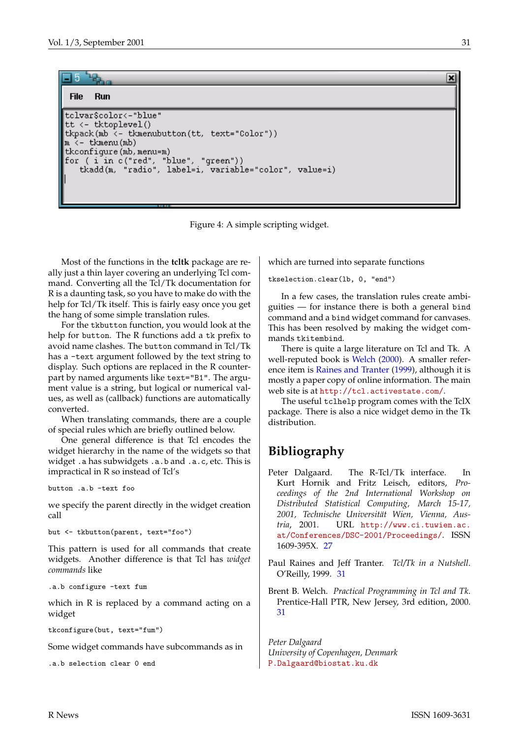#### <span id="page-30-4"></span>**Run File**

```
tclvar$color<-"blue"
tt \leftarrow tktoplevel()
tkpack(mb <- tkmenubutton(tt, text="Color"))
m \le - tkmenu(mb)
tkconfigure(mb, menu=m)
for (i in c("red", "blue", "green"))
   tkadd(m, "radio", label=i, variable="color", value=i)
```
<span id="page-30-1"></span>Figure 4: A simple scripting widget.

Most of the functions in the **tcltk** package are really just a thin layer covering an underlying Tcl command. Converting all the Tcl/Tk documentation for R is a daunting task, so you have to make do with the help for Tcl/Tk itself. This is fairly easy once you get the hang of some simple translation rules.

For the tkbutton function, you would look at the help for button. The R functions add a tk prefix to avoid name clashes. The button command in Tcl/Tk has a -text argument followed by the text string to display. Such options are replaced in the R counterpart by named arguments like text="B1". The argument value is a string, but logical or numerical values, as well as (callback) functions are automatically converted.

When translating commands, there are a couple of special rules which are briefly outlined below.

One general difference is that Tcl encodes the widget hierarchy in the name of the widgets so that widget .a has subwidgets .a.b and .a.c, etc. This is impractical in R so instead of Tcl's

```
button .a.b -text foo
```
we specify the parent directly in the widget creation call

```
but <- tkbutton(parent, text="foo")
```
This pattern is used for all commands that create widgets. Another difference is that Tcl has *widget commands* like

.a.b configure -text fum

which in R is replaced by a command acting on a widget

tkconfigure(but, text="fum")

Some widget commands have subcommands as in

.a.b selection clear 0 end

which are turned into separate functions

tkselection.clear(lb, 0, "end")

In a few cases, the translation rules create ambiguities — for instance there is both a general bind command and a bind widget command for canvases. This has been resolved by making the widget commands tkitembind.

There is quite a large literature on Tcl and Tk. A well-reputed book is [Welch](#page-30-2) [\(2000](#page-30-2)). A smaller reference item is [Raines and Tranter](#page-30-3) [\(1999\)](#page-30-3), although it is mostly a paper copy of online information. The main web site is at <http://tcl.activestate.com/>.

The useful tclhelp program comes with the TclX package. There is also a nice widget demo in the Tk distribution.

# **Bibliography**

- <span id="page-30-0"></span>Peter Dalgaard. The R-Tcl/Tk interface. In Kurt Hornik and Fritz Leisch, editors, *Proceedings of the 2nd International Workshop on Distributed Statistical Computing, March 15-17, 2001, Technische Universität Wien, Vienna, Austria*, 2001. URL [http://www.ci.tuwien.ac.](http://www.ci.tuwien.ac.at/Conferences/DSC-2001/Proceedings/) [at/Conferences/DSC-2001/Proceedings/](http://www.ci.tuwien.ac.at/Conferences/DSC-2001/Proceedings/). ISSN 1609-395X. [27](#page-26-2)
- <span id="page-30-3"></span>Paul Raines and Jeff Tranter. *Tcl/Tk in a Nutshell*. O'Reilly, 1999. [31](#page-30-4)
- <span id="page-30-2"></span>Brent B. Welch. *Practical Programming in Tcl and Tk*. Prentice-Hall PTR, New Jersey, 3rd edition, 2000. [31](#page-30-4)

*Peter Dalgaard University of Copenhagen, Denmark* [P.Dalgaard@biostat.ku.dk](mailto:P.Dalgaard@biostat.ku.dk)

×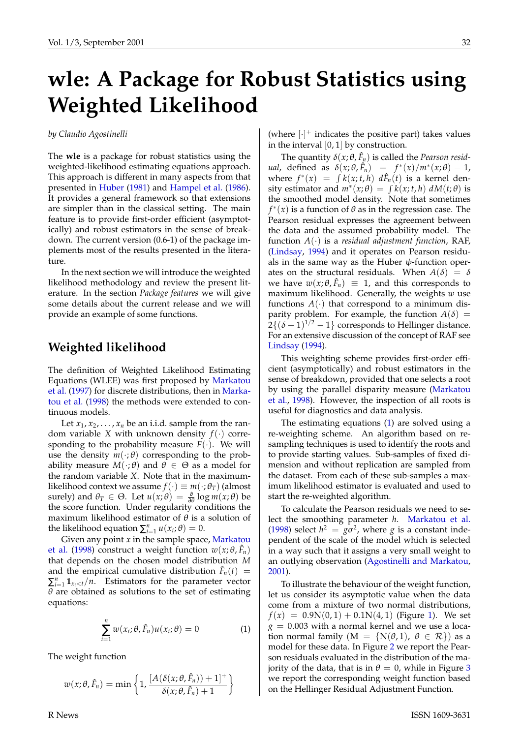# <span id="page-31-2"></span>**wle: A Package for Robust Statistics using Weighted Likelihood**

<span id="page-31-0"></span>*by Claudio Agostinelli*

The **wle** is a package for robust statistics using the weighted-likelihood estimating equations approach. This approach is different in many aspects from that presented in [Huber](#page-35-0) ([1981\)](#page-35-0) and [Hampel et al.](#page-35-1) [\(1986](#page-35-1)). It provides a general framework so that extensions are simpler than in the classical setting. The main feature is to provide first-order efficient (asymptotically) and robust estimators in the sense of breakdown. The current version (0.6-1) of the package implements most of the results presented in the literature.

In the next section we will introduce the weighted likelihood methodology and review the present literature. In the section *Package features* we will give some details about the current release and we will provide an example of some functions.

#### **Weighted likelihood**

The definition of Weighted Likelihood Estimating Equations (WLEE) was first proposed by [Markatou](#page-37-1) [et al.](#page-37-1) ([1997\)](#page-37-1) for discrete distributions, then in [Marka](#page-37-2)[tou et al.](#page-37-2) [\(1998](#page-37-2)) the methods were extended to continuous models.

Let  $x_1, x_2, \ldots, x_n$  be an i.i.d. sample from the random variable *X* with unknown density  $f(\cdot)$  corresponding to the probability measure  $F(\cdot)$ . We will use the density  $m(\cdot;\theta)$  corresponding to the probability measure  $M(\cdot;\theta)$  and  $\theta \in \Theta$  as a model for the random variable *X*. Note that in the maximumlikelihood context we assume  $f(\cdot) \equiv m(\cdot;\theta_T)$  (almost surely) and  $\theta_T \in \Theta$ . Let  $u(x;\theta) = \frac{\partial}{\partial \theta} \log m(x;\theta)$  be the score function. Under regularity conditions the maximum likelihood estimator of  $\theta$  is a solution of the likelihood equation  $\sum_{i=1}^{n} u(x_i; \theta) = 0$ .

Given any point *x* in the sample space, [Markatou](#page-37-2) [et al.](#page-37-2) ([1998\)](#page-37-2) construct a weight function  $w(x; \theta, \hat{F}_n)$ that depends on the chosen model distribution *M* and the empirical cumulative distribution  $\hat{F}_n(t)$  =  $\sum_{i=1}^{n} \mathbf{1}_{x_i < t}/n$ . Estimators for the parameter vector  $\theta$  are obtained as solutions to the set of estimating equations:

<span id="page-31-1"></span>
$$
\sum_{i=1}^{n} w(x_i; \theta, \hat{F}_n) u(x_i; \theta) = 0 \tag{1}
$$

The weight function

$$
w(x; \theta, \hat{F}_n) = \min \left\{ 1, \frac{[A(\delta(x; \theta, \hat{F}_n)) + 1]^+}{\delta(x; \theta, \hat{F}_n) + 1} \right\}
$$

(where  $[\cdot]^+$  indicates the positive part) takes values in the interval  $[0, 1]$  by construction.

The quantity  $\delta(x;\theta,\hat{F}_n)$  is called the *Pearson residual*, defined as  $\delta(x;\theta,\hat{F}_n) = f^*(x)/m^*(x;\theta) - 1$ , where  $f^*(x) = \int k(x; t, h) d\hat{F}_n(t)$  is a kernel density estimator and  $m^*(x;\theta) = \int k(x;t,h) dM(t;\theta)$  is the smoothed model density. Note that sometimes  $f^*(x)$  is a function of  $\theta$  as in the regression case. The Pearson residual expresses the agreement between the data and the assumed probability model. The function  $A(\cdot)$  is a *residual adjustment function*, RAF, [\(Lindsay,](#page-35-2) [1994](#page-35-2)) and it operates on Pearson residuals in the same way as the Huber  $\psi$ -function operates on the structural residuals. When  $A(\delta) = \delta$ we have  $w(x;\theta,\hat{F}_n) \equiv 1$ , and this corresponds to maximum likelihood. Generally, the weights *w* use functions  $A(\cdot)$  that correspond to a minimum disparity problem. For example, the function  $A(\delta)$  =  $2\{(\delta+1)^{1/2}-1\}$  corresponds to Hellinger distance. For an extensive discussion of the concept of RAF see [Lindsay](#page-35-2) [\(1994](#page-35-2)).

This weighting scheme provides first-order efficient (asymptotically) and robust estimators in the sense of breakdown, provided that one selects a root by using the parallel disparity measure [\(Markatou](#page-37-2) [et al.,](#page-37-2) [1998\)](#page-37-2). However, the inspection of all roots is useful for diagnostics and data analysis.

The estimating equations [\(1](#page-31-1)) are solved using a re-weighting scheme. An algorithm based on resampling techniques is used to identify the roots and to provide starting values. Sub-samples of fixed dimension and without replication are sampled from the dataset. From each of these sub-samples a maximum likelihood estimator is evaluated and used to start the re-weighted algorithm.

To calculate the Pearson residuals we need to select the smoothing parameter *h*. [Markatou et al.](#page-37-2) [\(1998](#page-37-2)) select  $h^2 = g\sigma^2$ , where *g* is a constant independent of the scale of the model which is selected in a way such that it assigns a very small weight to an outlying observation [\(Agostinelli and Markatou](#page-35-3), [2001\)](#page-35-3).

To illustrate the behaviour of the weight function, let us consider its asymptotic value when the data come from a mixture of two normal distributions,  $f(x) = 0.9N(0, 1) + 0.1N(4, 1)$  $f(x) = 0.9N(0, 1) + 0.1N(4, 1)$  $f(x) = 0.9N(0, 1) + 0.1N(4, 1)$  (Figure 1). We set  $g = 0.003$  with a normal kernel and we use a location normal family  $(M = \{N(\theta, 1), \theta \in \mathcal{R}\})$  as a model for these data. In Figure [2](#page-32-1) we report the Pearson residuals evaluated in the distribution of the majority of the data, that is in  $\theta = 0$ , while in Figure [3](#page-32-2) we report the corresponding weight function based on the Hellinger Residual Adjustment Function.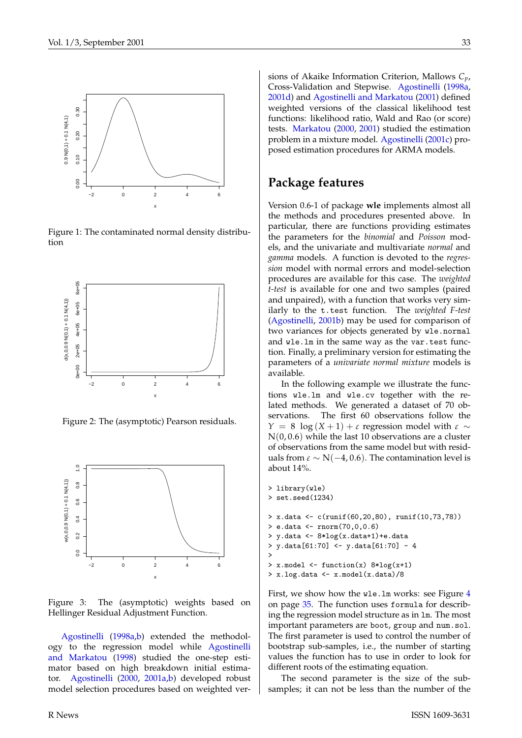<span id="page-32-3"></span>

<span id="page-32-0"></span>Figure 1: The contaminated normal density distribution



<span id="page-32-1"></span>Figure 2: The (asymptotic) Pearson residuals.



<span id="page-32-2"></span>Figure 3: The (asymptotic) weights based on Hellinger Residual Adjustment Function.

[Agostinelli](#page-35-4) ([1998a](#page-35-4),[b](#page-35-5)) extended the methodology to the regression model while [Agostinelli](#page-35-6) [and Markatou](#page-35-6) [\(1998](#page-35-6)) studied the one-step estimator based on high breakdown initial estimator. [Agostinelli](#page-35-7) [\(2000](#page-35-7), [2001a,](#page-35-8)[b\)](#page-35-9) developed robust model selection procedures based on weighted versions of Akaike Information Criterion, Mallows *Cp*, Cross-Validation and Stepwise. [Agostinelli](#page-35-4) [\(1998a](#page-35-4), [2001d\)](#page-35-10) and [Agostinelli and Markatou](#page-35-3) [\(2001](#page-35-3)) defined weighted versions of the classical likelihood test functions: likelihood ratio, Wald and Rao (or score) tests. [Markatou](#page-35-11) [\(2000](#page-35-11), [2001\)](#page-37-3) studied the estimation problem in a mixture model. [Agostinelli](#page-35-12) [\(2001c\)](#page-35-12) proposed estimation procedures for ARMA models.

#### **Package features**

Version 0.6-1 of package **wle** implements almost all the methods and procedures presented above. In particular, there are functions providing estimates the parameters for the *binomial* and *Poisson* models, and the univariate and multivariate *normal* and *gamma* models. A function is devoted to the *regression* model with normal errors and model-selection procedures are available for this case. The *weighted t-test* is available for one and two samples (paired and unpaired), with a function that works very similarly to the t.test function. The *weighted F-test* [\(Agostinelli,](#page-35-9) [2001b\)](#page-35-9) may be used for comparison of two variances for objects generated by wle.normal and wle.lm in the same way as the var.test function. Finally, a preliminary version for estimating the parameters of a *univariate normal mixture* models is available.

In the following example we illustrate the functions wle.lm and wle.cv together with the related methods. We generated a dataset of 70 observations. The first 60 observations follow the *Y* = 8 log  $(X + 1) + \varepsilon$  regression model with  $\varepsilon \sim$  $N(0, 0.6)$  while the last 10 observations are a cluster of observations from the same model but with residuals from  $\varepsilon \sim N(-4, 0.6)$ . The contamination level is about 14%.

```
> set.seed(1234)
> x.data <- c(runif(60,20,80), runif(10,73,78))
> e.data <- rnorm(70,0,0.6)
> y.data <- 8*log(x.data+1)+e.data
> y.data[61:70] <- y.data[61:70] - 4
>
> x.model \leq function(x) 8 * log(x+1)> x.log.data <- x.model(x.data)/8
```
> library(wle)

First, we show how the wle.lm works: see Figure [4](#page-34-0) on page [35](#page-34-0). The function uses formula for describing the regression model structure as in lm. The most important parameters are boot, group and num.sol. The first parameter is used to control the number of bootstrap sub-samples, i.e., the number of starting values the function has to use in order to look for different roots of the estimating equation.

The second parameter is the size of the subsamples; it can not be less than the number of the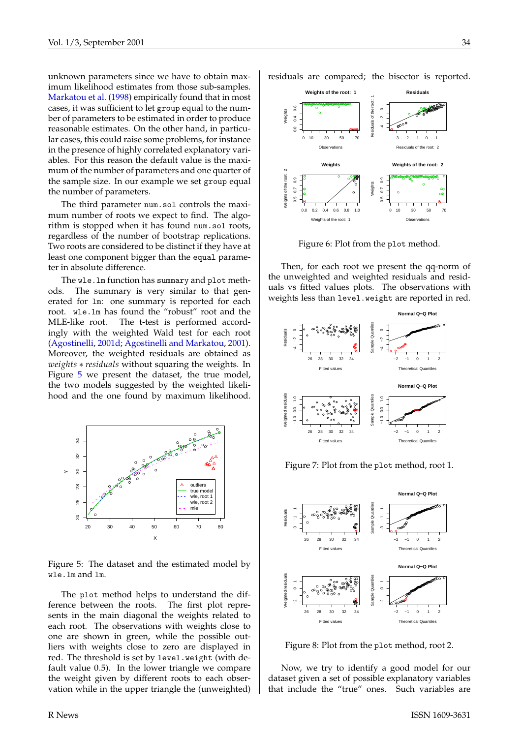<span id="page-33-1"></span>unknown parameters since we have to obtain maximum likelihood estimates from those sub-samples. [Markatou et al.](#page-37-2) [\(1998\)](#page-37-2) empirically found that in most cases, it was sufficient to let group equal to the number of parameters to be estimated in order to produce reasonable estimates. On the other hand, in particular cases, this could raise some problems, for instance in the presence of highly correlated explanatory variables. For this reason the default value is the maximum of the number of parameters and one quarter of the sample size. In our example we set group equal the number of parameters.

The third parameter num.sol controls the maximum number of roots we expect to find. The algorithm is stopped when it has found num.sol roots, regardless of the number of bootstrap replications. Two roots are considered to be distinct if they have at least one component bigger than the equal parameter in absolute difference.

The wle.lm function has summary and plot methods. The summary is very similar to that generated for lm: one summary is reported for each root. wle.lm has found the "robust" root and the MLE-like root. The t-test is performed accordingly with the weighted Wald test for each root [\(Agostinelli,](#page-35-10) [2001d](#page-35-10); [Agostinelli and Markatou](#page-35-3), [2001](#page-35-3)). Moreover, the weighted residuals are obtained as *weights* ∗ *residuals* without squaring the weights. In Figure [5](#page-33-0) we present the dataset, the true model, the two models suggested by the weighted likelihood and the one found by maximum likelihood.



<span id="page-33-0"></span>Figure 5: The dataset and the estimated model by wle.lm and lm.

The plot method helps to understand the difference between the roots. The first plot represents in the main diagonal the weights related to each root. The observations with weights close to one are shown in green, while the possible outliers with weights close to zero are displayed in red. The threshold is set by level.weight (with default value 0.5). In the lower triangle we compare the weight given by different roots to each observation while in the upper triangle the (unweighted) residuals are compared; the bisector is reported.



Figure 6: Plot from the plot method.

Then, for each root we present the qq-norm of the unweighted and weighted residuals and residuals vs fitted values plots. The observations with weights less than level.weight are reported in red.







Figure 8: Plot from the plot method, root 2.

Now, we try to identify a good model for our dataset given a set of possible explanatory variables that include the "true" ones. Such variables are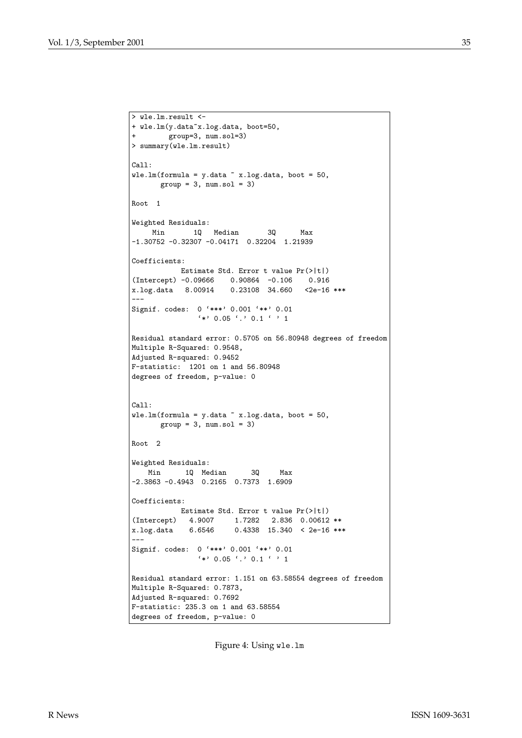```
> wle.lm.result <-
+ wle.lm(y.data~x.log.data, boot=50,
+ group=3, num.sol=3)
> summary(wle.lm.result)
Call:
wle.lm(formula = y.data \sim x.log.data, boot = 50,group = 3, num.sol = 3)Root 1
Weighted Residuals:
    Min 1Q Median 3Q Max
-1.30752 -0.32307 -0.04171 0.32204 1.21939
Coefficients:
           Estimate Std. Error t value Pr(>|t|)
(Intercept) -0.09666 0.90864 -0.106 0.916
x.log.data 8.00914 0.23108 34.660 <2e-16 ***
---
Signif. codes: 0 '***' 0.001 '**' 0.01
               ' *' 0.05'.' 0.1'' 1
Residual standard error: 0.5705 on 56.80948 degrees of freedom
Multiple R-Squared: 0.9548,
Adjusted R-squared: 0.9452
F-statistic: 1201 on 1 and 56.80948
degrees of freedom, p-value: 0
Call:
wle.lm(formula = y.data \tilde{ } x.log.data, boot = 50,
      group = 3, num.sol = 3)Root 2
Weighted Residuals:
   Min 1Q Median 3Q Max
-2.3863 -0.4943 0.2165 0.7373 1.6909
Coefficients:
          Estimate Std. Error t value Pr(>|t|)
(Intercept) 4.9007 1.7282 2.836 0.00612 **<br>x.log.data 6.6546 0.4338 15.340 < 2e-16 **
x.log.data 6.6546 0.4338 15.340 < 2e-16 ***
---
Signif. codes: 0 '***' 0.001 '**' 0.01
               '*' 0.05 '.' 0.1 ' ' 1
Residual standard error: 1.151 on 63.58554 degrees of freedom
Multiple R-Squared: 0.7873,
Adjusted R-squared: 0.7692
F-statistic: 235.3 on 1 and 63.58554
degrees of freedom, p-value: 0
```
<span id="page-34-0"></span>Figure 4: Using wle.lm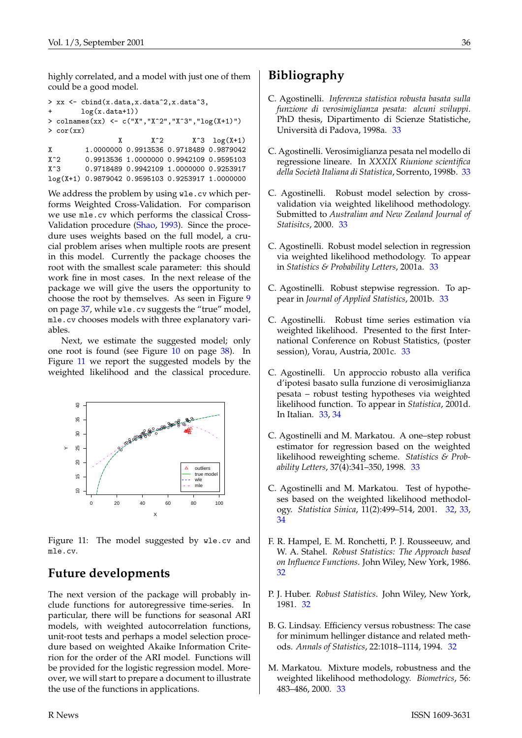<span id="page-35-14"></span>highly correlated, and a model with just one of them could be a good model.

```
> xx <- cbind(x.data,x.data^2,x.data^3,
+ log(x.data+1))
> colnames(xx) <- c("X","X^2","X^3","log(X+1)")
> cor(xx)
              X^2 X^3 log(X+1)X 1.0000000 0.9913536 0.9718489 0.9879042
X^2 0.9913536 1.0000000 0.9942109 0.9595103
```
X^3 0.9718489 0.9942109 1.0000000 0.9253917 log(X+1) 0.9879042 0.9595103 0.9253917 1.0000000

We address the problem by using wle.cv which performs Weighted Cross-Validation. For comparison we use mle.cv which performs the classical Cross-Validation procedure ([Shao](#page-37-4), [1993\)](#page-37-4). Since the procedure uses weights based on the full model, a crucial problem arises when multiple roots are present in this model. Currently the package chooses the root with the smallest scale parameter: this should work fine in most cases. In the next release of the package we will give the users the opportunity to choose the root by themselves. As seen in Figure [9](#page-36-0) on page [37](#page-36-0), while wle.cv suggests the "true" model, mle.cv chooses models with three explanatory variables.

Next, we estimate the suggested model; only one root is found (see Figure [10](#page-37-5) on page [38\)](#page-37-5). In Figure [11](#page-35-13) we report the suggested models by the weighted likelihood and the classical procedure.



<span id="page-35-13"></span>Figure 11: The model suggested by wle.cv and mle.cv.

# **Future developments**

The next version of the package will probably include functions for autoregressive time-series. In particular, there will be functions for seasonal ARI models, with weighted autocorrelation functions, unit-root tests and perhaps a model selection procedure based on weighted Akaike Information Criterion for the order of the ARI model. Functions will be provided for the logistic regression model. Moreover, we will start to prepare a document to illustrate the use of the functions in applications.

# **Bibliography**

- <span id="page-35-4"></span>C. Agostinelli. *Inferenza statistica robusta basata sulla funzione di verosimiglianza pesata: alcuni sviluppi*. PhD thesis, Dipartimento di Scienze Statistiche, Università di Padova, 1998a. [33](#page-32-3)
- <span id="page-35-5"></span>C. Agostinelli. Verosimiglianza pesata nel modello di regressione lineare. In *XXXIX Riunione scientifica della Società Italiana di Statistica*, Sorrento, 1998b. [33](#page-32-3)
- <span id="page-35-7"></span>C. Agostinelli. Robust model selection by crossvalidation via weighted likelihood methodology. Submitted to *Australian and New Zealand Journal of Statisitcs*, 2000. [33](#page-32-3)
- <span id="page-35-8"></span>C. Agostinelli. Robust model selection in regression via weighted likelihood methodology. To appear in *Statistics & Probability Letters*, 2001a. [33](#page-32-3)
- <span id="page-35-9"></span>C. Agostinelli. Robust stepwise regression. To appear in *Journal of Applied Statistics*, 2001b. [33](#page-32-3)
- <span id="page-35-12"></span>C. Agostinelli. Robust time series estimation via weighted likelihood. Presented to the first International Conference on Robust Statistics, (poster session), Vorau, Austria, 2001c. [33](#page-32-3)
- <span id="page-35-10"></span>C. Agostinelli. Un approccio robusto alla verifica d'ipotesi basato sulla funzione di verosimiglianza pesata – robust testing hypotheses via weighted likelihood function. To appear in *Statistica*, 2001d. In Italian. [33](#page-32-3), [34](#page-33-1)
- <span id="page-35-6"></span>C. Agostinelli and M. Markatou. A one–step robust estimator for regression based on the weighted likelihood reweighting scheme. *Statistics & Probability Letters*, 37(4):341–350, 1998. [33](#page-32-3)
- <span id="page-35-3"></span>C. Agostinelli and M. Markatou. Test of hypotheses based on the weighted likelihood methodology. *Statistica Sinica*, 11(2):499–514, 2001. [32](#page-31-2), [33](#page-32-3), [34](#page-33-1)
- <span id="page-35-1"></span>F. R. Hampel, E. M. Ronchetti, P. J. Rousseeuw, and W. A. Stahel. *Robust Statistics: The Approach based on Influence Functions*. John Wiley, New York, 1986. [32](#page-31-2)
- <span id="page-35-0"></span>P. J. Huber. *Robust Statistics*. John Wiley, New York, 1981. [32](#page-31-2)
- <span id="page-35-2"></span>B. G. Lindsay. Efficiency versus robustness: The case for minimum hellinger distance and related methods. *Annals of Statistics*, 22:1018–1114, 1994. [32](#page-31-2)
- <span id="page-35-11"></span>M. Markatou. Mixture models, robustness and the weighted likelihood methodology. *Biometrics*, 56: 483–486, 2000. [33](#page-32-3)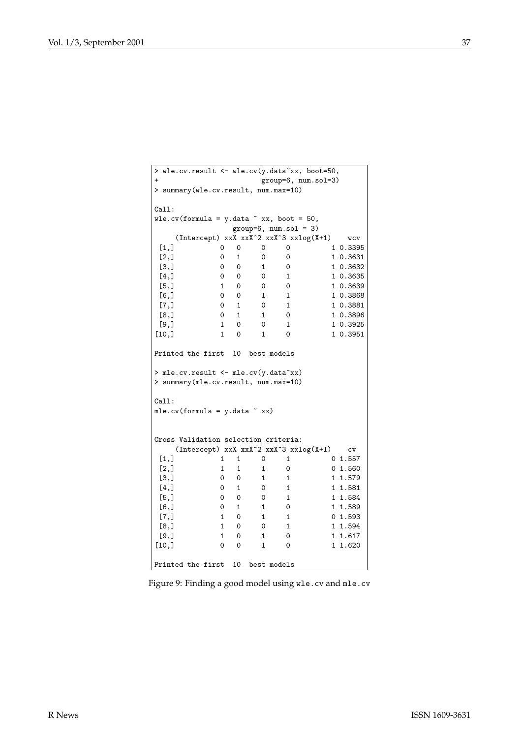|                                         |                                            |              |              |                         | > wle.cv.result <- wle.cv(y.data~xx, boot=50, |
|-----------------------------------------|--------------------------------------------|--------------|--------------|-------------------------|-----------------------------------------------|
| $\ddot{}$                               |                                            |              |              |                         | group=6, num.sol=3)                           |
|                                         | > summary(wle.cv.result, num.max=10)       |              |              |                         |                                               |
| Call:                                   |                                            |              |              |                         |                                               |
|                                         | wle.cv(formula = $y.data$ $x, boot = 50$ , |              |              |                         |                                               |
|                                         |                                            |              |              | $group=6, num.sol = 3)$ |                                               |
|                                         |                                            |              |              |                         | (Intercept) xxX xxX^2 xxX^3 xxlog(X+1) wcv    |
| [1,]                                    | 0                                          | 0            | 0            | 0                       | 1 0.3395                                      |
| [2,]                                    | 0                                          | $\mathbf{1}$ | 0            | 0                       | 1 0.3631                                      |
| [3,]                                    | 0                                          | 0            | 1            | 0                       | 1 0.3632                                      |
| [4,]                                    | 0                                          | 0            | 0            | $\mathbf{1}$            | 1 0.3635                                      |
| [5,]                                    | $\mathbf{1}$                               | 0            | 0            | 0                       | 1 0.3639                                      |
| [6,]                                    | 0                                          | 0            | $\mathbf{1}$ | 1                       | 1 0.3868                                      |
| [7,]                                    | $\Omega$                                   | 1            | $\mathbf{0}$ | $\mathbf{1}$            | 1 0.3881                                      |
| [8,]                                    | 0                                          | 1            | $\mathbf{1}$ | 0                       | 1 0.3896                                      |
| [9,]                                    | $\mathbf{1}$                               | $\Omega$     | 0            | 1                       | 1 0.3925                                      |
| [10,]                                   | $\mathbf{1}$                               | 0            | 1            | 0                       | 1 0.3951                                      |
| Call:<br>$mle.cv(formula = y.data x x)$ |                                            |              |              |                         |                                               |
|                                         | Cross Validation selection criteria:       |              |              |                         |                                               |
|                                         |                                            |              |              |                         | (Intercept) xxX xxX^2 xxX^3 xxlog(X+1)<br>CV  |
| [1,]                                    | $\mathbf{1}$                               | 1            | 0            | 1                       | 0 1.557                                       |
| [2,]                                    | $\mathbf{1}$                               | $\mathbf{1}$ | $\mathbf{1}$ | 0                       | 0 1.560                                       |
| [3,]                                    | 0                                          | 0            | $\mathbf{1}$ | 1                       | 1 1.579                                       |
|                                         | $\mathsf{O}$                               | $\mathbf{1}$ | 0            | $\mathbf{1}$            | 1 1.581                                       |
| [4,]                                    |                                            |              |              |                         |                                               |
| [5,]                                    | 0                                          | 0            | 0            | 1                       | 1 1.584                                       |
| [6,]                                    | 0                                          | $\mathbf{1}$ | $\mathbf{1}$ | 0                       | 1 1.589                                       |
| [7,]                                    | $\mathbf{1}$                               | 0            | $\mathbf{1}$ | $\mathbf{1}$            | 01.593                                        |
| [8,]                                    | $\mathbf{1}$                               | 0            | $\Omega$     | $\mathbf{1}$            | 1 1.594                                       |
| [9,]                                    | $\mathbf{1}$                               | 0            | $\mathbf{1}$ | 0                       | 1.617<br>1                                    |
| [10,]                                   | $\Omega$                                   | 0            | $\mathbf{1}$ | 0                       | 1 1.620                                       |

<span id="page-36-0"></span>Figure 9: Finding a good model using wle.cv and mle.cv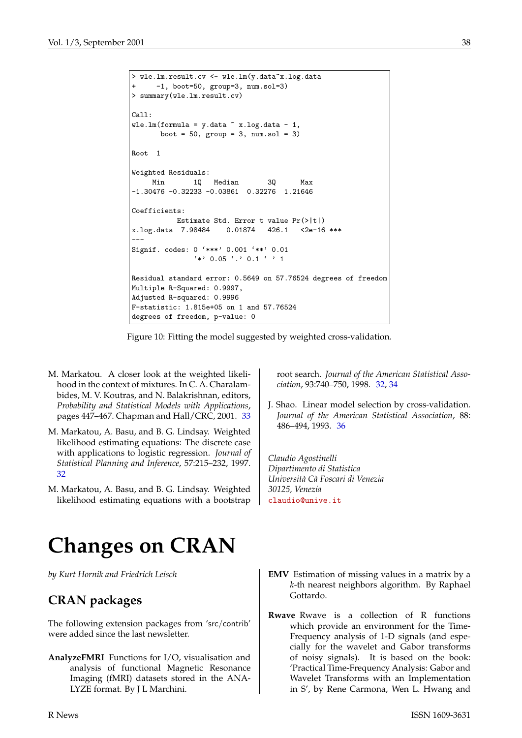```
> wle.lm.result.cv <- wle.lm(y.data~x.log.data
     -1, boot=50, group=3, num.sol=3)
> summary(wle.lm.result.cv)
Call:
wle.lm(formula = y.data \tilde{ } x.log.data - 1,
      boot = 50, group = 3, num.sol = 3)
Root 1
Weighted Residuals:
    Min 1Q Median 3Q Max
-1.30476 -0.32233 -0.03861 0.32276 1.21646
Coefficients:
         Estimate Std. Error t value Pr(>|t|)
x.log.data 7.98484 0.01874 426.1 <2e-16 ***
---
Signif. codes: 0 '***' 0.001 '**' 0.01
               ' *' 0.05 ' ' 0.1 ' ' 1
Residual standard error: 0.5649 on 57.76524 degrees of freedom
Multiple R-Squared: 0.9997,
Adjusted R-squared: 0.9996
F-statistic: 1.815e+05 on 1 and 57.76524
degrees of freedom, p-value: 0
```
<span id="page-37-5"></span>Figure 10: Fitting the model suggested by weighted cross-validation.

- <span id="page-37-3"></span>M. Markatou. A closer look at the weighted likelihood in the context of mixtures. In C. A. Charalambides, M. V. Koutras, and N. Balakrishnan, editors, *Probability and Statistical Models with Applications*, pages 447–467. Chapman and Hall/CRC, 2001. [33](#page-32-3)
- <span id="page-37-1"></span>M. Markatou, A. Basu, and B. G. Lindsay. Weighted likelihood estimating equations: The discrete case with applications to logistic regression. *Journal of Statistical Planning and Inference*, 57:215–232, 1997. [32](#page-31-2)
- <span id="page-37-2"></span>M. Markatou, A. Basu, and B. G. Lindsay. Weighted likelihood estimating equations with a bootstrap

root search. *Journal of the American Statistical Association*, 93:740–750, 1998. [32,](#page-31-2) [34](#page-33-1)

<span id="page-37-4"></span>J. Shao. Linear model selection by cross-validation. *Journal of the American Statistical Association*, 88: 486–494, 1993. [36](#page-35-14)

*Claudio Agostinelli Dipartimento di Statistica Università Cà Foscari di Venezia 30125, Venezia* [claudio@unive.it](mailto:claudio@unive.it)

# **Changes on CRAN**

<span id="page-37-0"></span>*by Kurt Hornik and Friedrich Leisch*

# **CRAN packages**

The following extension packages from 'src/contrib' were added since the last newsletter.

- **AnalyzeFMRI** Functions for I/O, visualisation and analysis of functional Magnetic Resonance Imaging (fMRI) datasets stored in the ANA-LYZE format. By J L Marchini.
- **EMV** Estimation of missing values in a matrix by a *k*-th nearest neighbors algorithm. By Raphael Gottardo.
- **Rwave** Rwave is a collection of R functions which provide an environment for the Time-Frequency analysis of 1-D signals (and especially for the wavelet and Gabor transforms of noisy signals). It is based on the book: 'Practical Time-Frequency Analysis: Gabor and Wavelet Transforms with an Implementation in S', by Rene Carmona, Wen L. Hwang and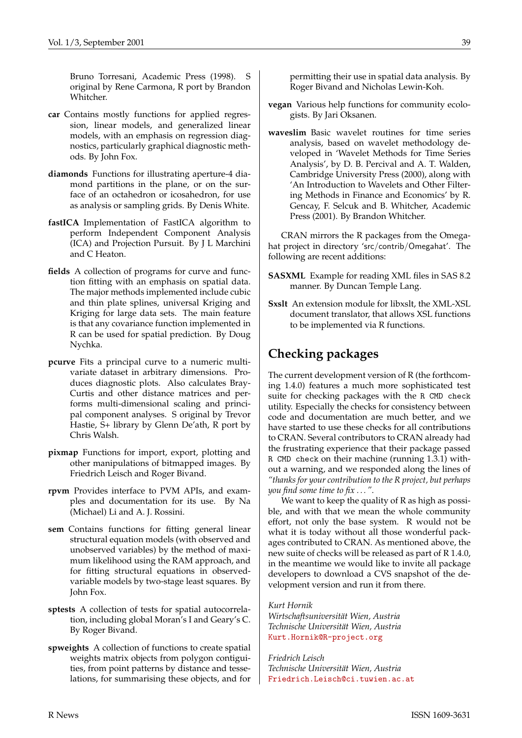Bruno Torresani, Academic Press (1998). S original by Rene Carmona, R port by Brandon Whitcher.

- **car** Contains mostly functions for applied regression, linear models, and generalized linear models, with an emphasis on regression diagnostics, particularly graphical diagnostic methods. By John Fox.
- **diamonds** Functions for illustrating aperture-4 diamond partitions in the plane, or on the surface of an octahedron or icosahedron, for use as analysis or sampling grids. By Denis White.
- **fastICA** Implementation of FastICA algorithm to perform Independent Component Analysis (ICA) and Projection Pursuit. By J L Marchini and C Heaton.
- **fields** A collection of programs for curve and function fitting with an emphasis on spatial data. The major methods implemented include cubic and thin plate splines, universal Kriging and Kriging for large data sets. The main feature is that any covariance function implemented in R can be used for spatial prediction. By Doug Nychka.
- **pcurve** Fits a principal curve to a numeric multivariate dataset in arbitrary dimensions. Produces diagnostic plots. Also calculates Bray-Curtis and other distance matrices and performs multi-dimensional scaling and principal component analyses. S original by Trevor Hastie, S+ library by Glenn De'ath, R port by Chris Walsh.
- **pixmap** Functions for import, export, plotting and other manipulations of bitmapped images. By Friedrich Leisch and Roger Bivand.
- **rpvm** Provides interface to PVM APIs, and examples and documentation for its use. By Na (Michael) Li and A. J. Rossini.
- **sem** Contains functions for fitting general linear structural equation models (with observed and unobserved variables) by the method of maximum likelihood using the RAM approach, and for fitting structural equations in observedvariable models by two-stage least squares. By John Fox.
- **sptests** A collection of tests for spatial autocorrelation, including global Moran's I and Geary's C. By Roger Bivand.
- **spweights** A collection of functions to create spatial weights matrix objects from polygon contiguities, from point patterns by distance and tesselations, for summarising these objects, and for

permitting their use in spatial data analysis. By Roger Bivand and Nicholas Lewin-Koh.

- **vegan** Various help functions for community ecologists. By Jari Oksanen.
- **waveslim** Basic wavelet routines for time series analysis, based on wavelet methodology developed in 'Wavelet Methods for Time Series Analysis', by D. B. Percival and A. T. Walden, Cambridge University Press (2000), along with 'An Introduction to Wavelets and Other Filtering Methods in Finance and Economics' by R. Gencay, F. Selcuk and B. Whitcher, Academic Press (2001). By Brandon Whitcher.

CRAN mirrors the R packages from the Omegahat project in directory 'src/contrib/Omegahat'. The following are recent additions:

- **SASXML** Example for reading XML files in SAS 8.2 manner. By Duncan Temple Lang.
- **Sxslt** An extension module for libxslt, the XML-XSL document translator, that allows XSL functions to be implemented via R functions.

# **Checking packages**

The current development version of R (the forthcoming 1.4.0) features a much more sophisticated test suite for checking packages with the R CMD check utility. Especially the checks for consistency between code and documentation are much better, and we have started to use these checks for all contributions to CRAN. Several contributors to CRAN already had the frustrating experience that their package passed R CMD check on their machine (running 1.3.1) without a warning, and we responded along the lines of *"thanks for your contribution to the R project, but perhaps you find some time to fix . . . "*.

We want to keep the quality of R as high as possible, and with that we mean the whole community effort, not only the base system. R would not be what it is today without all those wonderful packages contributed to CRAN. As mentioned above, the new suite of checks will be released as part of R 1.4.0, in the meantime we would like to invite all package developers to download a CVS snapshot of the development version and run it from there.

#### *Kurt Hornik*

*Wirtschaftsuniversität Wien, Austria Technische Universität Wien, Austria* [Kurt.Hornik@R-project.org](mailto:Kurt.Hornik@R-project.org)

*Friedrich Leisch Technische Universität Wien, Austria* [Friedrich.Leisch@ci.tuwien.ac.at](mailto:Friedrich.Leisch@ci.tuwien.ac.at)